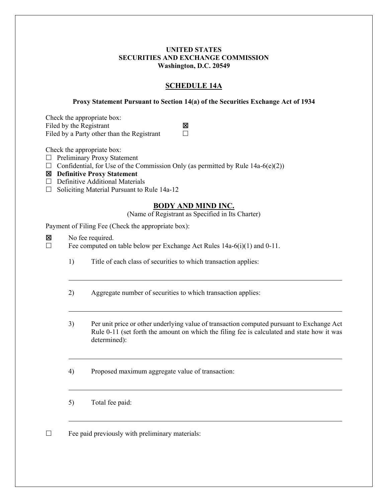#### **UNITED STATES SECURITIES AND EXCHANGE COMMISSION Washington, D.C. 20549**

# **SCHEDULE 14A**

#### **Proxy Statement Pursuant to Section 14(a) of the Securities Exchange Act of 1934**

Check the appropriate box: Filed by the Registrant  $\boxtimes$ <br>Filed by a Party other than the Registrant  $\Box$ Filed by a Party other than the Registrant

Check the appropriate box:

- $\Box$  Preliminary Proxy Statement
- $\Box$  Confidential, for Use of the Commission Only (as permitted by Rule 14a-6(e)(2))
- **Definitive Proxy Statement**
- $\Box$  Definitive Additional Materials
- $\Box$  Soliciting Material Pursuant to Rule 14a-12

#### **BODY AND MIND INC.**

(Name of Registrant as Specified in Its Charter)

Payment of Filing Fee (Check the appropriate box):

No fee required.

 $\Box$  Fee computed on table below per Exchange Act Rules 14a-6(i)(1) and 0-11.

- 1) Title of each class of securities to which transaction applies:
- 2) Aggregate number of securities to which transaction applies:
- 3) Per unit price or other underlying value of transaction computed pursuant to Exchange Act Rule 0-11 (set forth the amount on which the filing fee is calculated and state how it was determined):

4) Proposed maximum aggregate value of transaction:

5) Total fee paid:

 $\Box$  Fee paid previously with preliminary materials: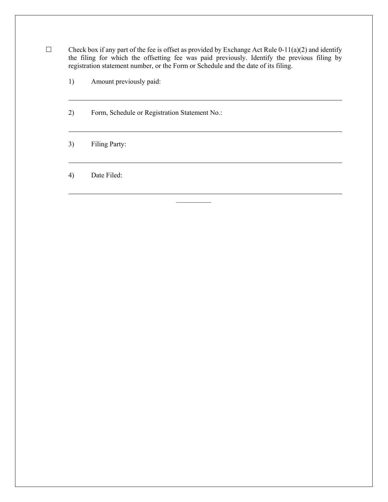$\Box$  Check box if any part of the fee is offset as provided by Exchange Act Rule 0-11(a)(2) and identify the filing for which the offsetting fee was paid previously. Identify the previous filing by registration statement number, or the Form or Schedule and the date of its filing.

 $\mathcal{L}_\text{max}$ 

1) Amount previously paid:

2) Form, Schedule or Registration Statement No.:

3) Filing Party:

4) Date Filed: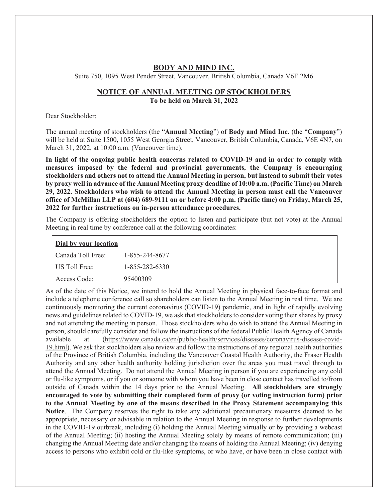#### **BODY AND MIND INC.**

Suite 750, 1095 West Pender Street, Vancouver, British Columbia, Canada V6E 2M6

# **NOTICE OF ANNUAL MEETING OF STOCKHOLDERS**

**To be held on March 31, 2022** 

Dear Stockholder:

The annual meeting of stockholders (the "**Annual Meeting**") of **Body and Mind Inc.** (the "**Company**") will be held at Suite 1500, 1055 West Georgia Street, Vancouver, British Columbia, Canada, V6E 4N7, on March 31, 2022, at 10:00 a.m. (Vancouver time).

**In light of the ongoing public health concerns related to COVID-19 and in order to comply with measures imposed by the federal and provincial governments, the Company is encouraging stockholders and others not to attend the Annual Meeting in person, but instead to submit their votes by proxy well in advance of the Annual Meeting proxy deadline of 10:00 a.m. (Pacific Time) on March 29, 2022. Stockholders who wish to attend the Annual Meeting in person must call the Vancouver office of McMillan LLP at (604) 689-9111 on or before 4:00 p.m. (Pacific time) on Friday, March 25, 2022 for further instructions on in-person attendance procedures.** 

The Company is offering stockholders the option to listen and participate (but not vote) at the Annual Meeting in real time by conference call at the following coordinates:

| Dial by your location |                |
|-----------------------|----------------|
| l Canada Toll Free:   | 1-855-244-8677 |
| US Toll Free:         | 1-855-282-6330 |
| Access Code:          | 95400309       |

As of the date of this Notice, we intend to hold the Annual Meeting in physical face-to-face format and include a telephone conference call so shareholders can listen to the Annual Meeting in real time. We are continuously monitoring the current coronavirus (COVID-19) pandemic, and in light of rapidly evolving news and guidelines related to COVID-19, we ask that stockholders to consider voting their shares by proxy and not attending the meeting in person. Those stockholders who do wish to attend the Annual Meeting in person, should carefully consider and follow the instructions of the federal Public Health Agency of Canada available at (https://www.canada.ca/en/public-health/services/diseases/coronavirus-disease-covid-19.html). We ask that stockholders also review and follow the instructions of any regional health authorities of the Province of British Columbia, including the Vancouver Coastal Health Authority, the Fraser Health Authority and any other health authority holding jurisdiction over the areas you must travel through to attend the Annual Meeting. Do not attend the Annual Meeting in person if you are experiencing any cold or flu-like symptoms, or if you or someone with whom you have been in close contact has travelled to/from outside of Canada within the 14 days prior to the Annual Meeting. **All stockholders are strongly encouraged to vote by submitting their completed form of proxy (or voting instruction form) prior to the Annual Meeting by one of the means described in the Proxy Statement accompanying this Notice**. The Company reserves the right to take any additional precautionary measures deemed to be appropriate, necessary or advisable in relation to the Annual Meeting in response to further developments in the COVID-19 outbreak, including (i) holding the Annual Meeting virtually or by providing a webcast of the Annual Meeting; (ii) hosting the Annual Meeting solely by means of remote communication; (iii) changing the Annual Meeting date and/or changing the means of holding the Annual Meeting; (iv) denying access to persons who exhibit cold or flu-like symptoms, or who have, or have been in close contact with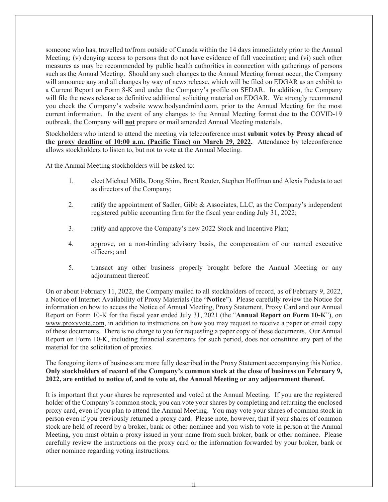someone who has, travelled to/from outside of Canada within the 14 days immediately prior to the Annual Meeting; (v) denying access to persons that do not have evidence of full vaccination; and (vi) such other measures as may be recommended by public health authorities in connection with gatherings of persons such as the Annual Meeting. Should any such changes to the Annual Meeting format occur, the Company will announce any and all changes by way of news release, which will be filed on EDGAR as an exhibit to a Current Report on Form 8-K and under the Company's profile on SEDAR. In addition, the Company will file the news release as definitive additional soliciting material on EDGAR. We strongly recommend you check the Company's website www.bodyandmind.com, prior to the Annual Meeting for the most current information. In the event of any changes to the Annual Meeting format due to the COVID-19 outbreak, the Company will **not** prepare or mail amended Annual Meeting materials.

Stockholders who intend to attend the meeting via teleconference must **submit votes by Proxy ahead of the proxy deadline of 10:00 a.m. (Pacific Time) on March 29, 2022.** Attendance by teleconference allows stockholders to listen to, but not to vote at the Annual Meeting.

At the Annual Meeting stockholders will be asked to:

- 1. elect Michael Mills, Dong Shim, Brent Reuter, Stephen Hoffman and Alexis Podesta to act as directors of the Company;
- 2. ratify the appointment of Sadler, Gibb & Associates, LLC, as the Company's independent registered public accounting firm for the fiscal year ending July 31, 2022;
- 3. ratify and approve the Company's new 2022 Stock and Incentive Plan;
- 4. approve, on a non-binding advisory basis, the compensation of our named executive officers; and
- 5. transact any other business properly brought before the Annual Meeting or any adjournment thereof.

On or about February 11, 2022, the Company mailed to all stockholders of record, as of February 9, 2022, a Notice of Internet Availability of Proxy Materials (the "**Notice**"). Please carefully review the Notice for information on how to access the Notice of Annual Meeting, Proxy Statement, Proxy Card and our Annual Report on Form 10-K for the fiscal year ended July 31, 2021 (the "**Annual Report on Form 10-K**"), on www.proxyvote.com, in addition to instructions on how you may request to receive a paper or email copy of these documents. There is no charge to you for requesting a paper copy of these documents. Our Annual Report on Form 10-K, including financial statements for such period, does not constitute any part of the material for the solicitation of proxies.

The foregoing items of business are more fully described in the Proxy Statement accompanying this Notice. **Only stockholders of record of the Company's common stock at the close of business on February 9, 2022, are entitled to notice of, and to vote at, the Annual Meeting or any adjournment thereof.** 

It is important that your shares be represented and voted at the Annual Meeting. If you are the registered holder of the Company's common stock, you can vote your shares by completing and returning the enclosed proxy card, even if you plan to attend the Annual Meeting. You may vote your shares of common stock in person even if you previously returned a proxy card. Please note, however, that if your shares of common stock are held of record by a broker, bank or other nominee and you wish to vote in person at the Annual Meeting, you must obtain a proxy issued in your name from such broker, bank or other nominee. Please carefully review the instructions on the proxy card or the information forwarded by your broker, bank or other nominee regarding voting instructions.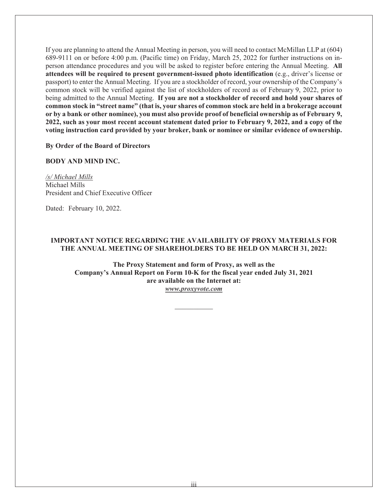If you are planning to attend the Annual Meeting in person, you will need to contact McMillan LLP at (604) 689-9111 on or before 4:00 p.m. (Pacific time) on Friday, March 25, 2022 for further instructions on inperson attendance procedures and you will be asked to register before entering the Annual Meeting. **All attendees will be required to present government-issued photo identification** (e.g., driver's license or passport) to enter the Annual Meeting. If you are a stockholder of record, your ownership of the Company's common stock will be verified against the list of stockholders of record as of February 9, 2022, prior to being admitted to the Annual Meeting. **If you are not a stockholder of record and hold your shares of common stock in "street name" (that is, your shares of common stock are held in a brokerage account or by a bank or other nominee), you must also provide proof of beneficial ownership as of February 9, 2022, such as your most recent account statement dated prior to February 9, 2022, and a copy of the voting instruction card provided by your broker, bank or nominee or similar evidence of ownership.**

#### **By Order of the Board of Directors**

#### **BODY AND MIND INC.**

*/s/ Michael Mills*  Michael Mills President and Chief Executive Officer

Dated: February 10, 2022.

# **IMPORTANT NOTICE REGARDING THE AVAILABILITY OF PROXY MATERIALS FOR THE ANNUAL MEETING OF SHAREHOLDERS TO BE HELD ON MARCH 31, 2022:**

**The Proxy Statement and form of Proxy, as well as the Company's Annual Report on Form 10-K for the fiscal year ended July 31, 2021 are available on the Internet at:**  *www.proxyvote.com*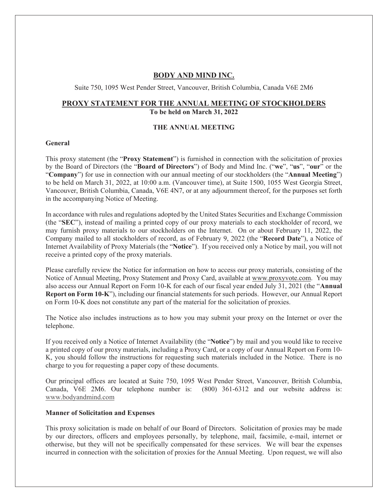# **BODY AND MIND INC.**

Suite 750, 1095 West Pender Street, Vancouver, British Columbia, Canada V6E 2M6

# **PROXY STATEMENT FOR THE ANNUAL MEETING OF STOCKHOLDERS To be held on March 31, 2022**

### **THE ANNUAL MEETING**

### **General**

This proxy statement (the "**Proxy Statement**") is furnished in connection with the solicitation of proxies by the Board of Directors (the "**Board of Directors**") of Body and Mind Inc. ("**we**", "**us**", "**our**" or the "**Company**") for use in connection with our annual meeting of our stockholders (the "**Annual Meeting**") to be held on March 31, 2022, at 10:00 a.m. (Vancouver time), at Suite 1500, 1055 West Georgia Street, Vancouver, British Columbia, Canada, V6E 4N7, or at any adjournment thereof, for the purposes set forth in the accompanying Notice of Meeting.

In accordance with rules and regulations adopted by the United States Securities and Exchange Commission (the "**SEC**"), instead of mailing a printed copy of our proxy materials to each stockholder of record, we may furnish proxy materials to our stockholders on the Internet. On or about February 11, 2022, the Company mailed to all stockholders of record, as of February 9, 2022 (the "**Record Date**"), a Notice of Internet Availability of Proxy Materials (the "**Notice**"). If you received only a Notice by mail, you will not receive a printed copy of the proxy materials.

Please carefully review the Notice for information on how to access our proxy materials, consisting of the Notice of Annual Meeting, Proxy Statement and Proxy Card, available at www.proxyvote.com. You may also access our Annual Report on Form 10-K for each of our fiscal year ended July 31, 2021 (the "**Annual Report on Form 10-K**"), including our financial statements for such periods. However, our Annual Report on Form 10-K does not constitute any part of the material for the solicitation of proxies.

The Notice also includes instructions as to how you may submit your proxy on the Internet or over the telephone.

If you received only a Notice of Internet Availability (the "**Notice**") by mail and you would like to receive a printed copy of our proxy materials, including a Proxy Card, or a copy of our Annual Report on Form 10- K, you should follow the instructions for requesting such materials included in the Notice. There is no charge to you for requesting a paper copy of these documents.

Our principal offices are located at Suite 750, 1095 West Pender Street, Vancouver, British Columbia, Canada, V6E 2M6. Our telephone number is: (800) 361-6312 and our website address is: www.bodyandmind.com

### **Manner of Solicitation and Expenses**

This proxy solicitation is made on behalf of our Board of Directors. Solicitation of proxies may be made by our directors, officers and employees personally, by telephone, mail, facsimile, e-mail, internet or otherwise, but they will not be specifically compensated for these services. We will bear the expenses incurred in connection with the solicitation of proxies for the Annual Meeting. Upon request, we will also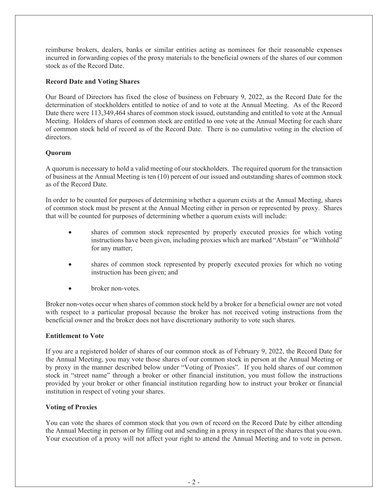reimburse brokers, dealers, banks or similar entities acting as nominees for their reasonable expenses incurred in forwarding copies of the proxy materials to the beneficial owners of the shares of our common stock as of the Record Date.

# **Record Date and Voting Shares**

Our Board of Directors has fixed the close of business on February 9, 2022, as the Record Date for the determination of stockholders entitled to notice of and to vote at the Annual Meeting. As of the Record Date there were 113,349,464 shares of common stock issued, outstanding and entitled to vote at the Annual Meeting. Holders of shares of common stock are entitled to one vote at the Annual Meeting for each share of common stock held of record as of the Record Date. There is no cumulative voting in the election of directors.

# **Quorum**

A quorum is necessary to hold a valid meeting of our stockholders. The required quorum for the transaction of business at the Annual Meeting is ten (10) percent of our issued and outstanding shares of common stock as of the Record Date.

In order to be counted for purposes of determining whether a quorum exists at the Annual Meeting, shares of common stock must be present at the Annual Meeting either in person or represented by proxy. Shares that will be counted for purposes of determining whether a quorum exists will include:

- shares of common stock represented by properly executed proxies for which voting instructions have been given, including proxies which are marked "Abstain" or "Withhold" for any matter;
- shares of common stock represented by properly executed proxies for which no voting instruction has been given; and
- broker non-votes.

Broker non-votes occur when shares of common stock held by a broker for a beneficial owner are not voted with respect to a particular proposal because the broker has not received voting instructions from the beneficial owner and the broker does not have discretionary authority to vote such shares.

### **Entitlement to Vote**

If you are a registered holder of shares of our common stock as of February 9, 2022, the Record Date for the Annual Meeting, you may vote those shares of our common stock in person at the Annual Meeting or by proxy in the manner described below under "Voting of Proxies". If you hold shares of our common stock in "street name" through a broker or other financial institution, you must follow the instructions provided by your broker or other financial institution regarding how to instruct your broker or financial institution in respect of voting your shares.

# **Voting of Proxies**

You can vote the shares of common stock that you own of record on the Record Date by either attending the Annual Meeting in person or by filling out and sending in a proxy in respect of the shares that you own. Your execution of a proxy will not affect your right to attend the Annual Meeting and to vote in person.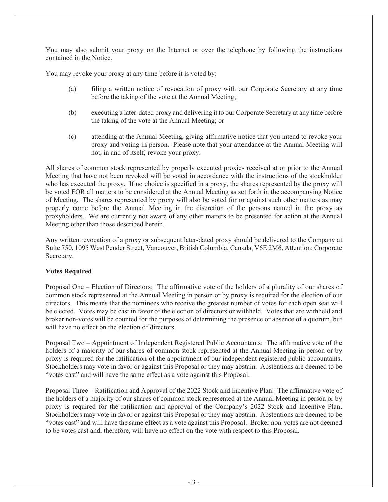You may also submit your proxy on the Internet or over the telephone by following the instructions contained in the Notice.

You may revoke your proxy at any time before it is voted by:

- (a) filing a written notice of revocation of proxy with our Corporate Secretary at any time before the taking of the vote at the Annual Meeting;
- (b) executing a later-dated proxy and delivering it to our Corporate Secretary at any time before the taking of the vote at the Annual Meeting; or
- (c) attending at the Annual Meeting, giving affirmative notice that you intend to revoke your proxy and voting in person. Please note that your attendance at the Annual Meeting will not, in and of itself, revoke your proxy.

All shares of common stock represented by properly executed proxies received at or prior to the Annual Meeting that have not been revoked will be voted in accordance with the instructions of the stockholder who has executed the proxy. If no choice is specified in a proxy, the shares represented by the proxy will be voted FOR all matters to be considered at the Annual Meeting as set forth in the accompanying Notice of Meeting. The shares represented by proxy will also be voted for or against such other matters as may properly come before the Annual Meeting in the discretion of the persons named in the proxy as proxyholders. We are currently not aware of any other matters to be presented for action at the Annual Meeting other than those described herein.

Any written revocation of a proxy or subsequent later-dated proxy should be delivered to the Company at Suite 750, 1095 West Pender Street, Vancouver, British Columbia, Canada, V6E 2M6, Attention: Corporate Secretary.

# **Votes Required**

Proposal One – Election of Directors: The affirmative vote of the holders of a plurality of our shares of common stock represented at the Annual Meeting in person or by proxy is required for the election of our directors. This means that the nominees who receive the greatest number of votes for each open seat will be elected. Votes may be cast in favor of the election of directors or withheld. Votes that are withheld and broker non-votes will be counted for the purposes of determining the presence or absence of a quorum, but will have no effect on the election of directors.

Proposal Two – Appointment of Independent Registered Public Accountants: The affirmative vote of the holders of a majority of our shares of common stock represented at the Annual Meeting in person or by proxy is required for the ratification of the appointment of our independent registered public accountants. Stockholders may vote in favor or against this Proposal or they may abstain. Abstentions are deemed to be "votes cast" and will have the same effect as a vote against this Proposal.

Proposal Three – Ratification and Approval of the 2022 Stock and Incentive Plan: The affirmative vote of the holders of a majority of our shares of common stock represented at the Annual Meeting in person or by proxy is required for the ratification and approval of the Company's 2022 Stock and Incentive Plan. Stockholders may vote in favor or against this Proposal or they may abstain. Abstentions are deemed to be "votes cast" and will have the same effect as a vote against this Proposal. Broker non-votes are not deemed to be votes cast and, therefore, will have no effect on the vote with respect to this Proposal.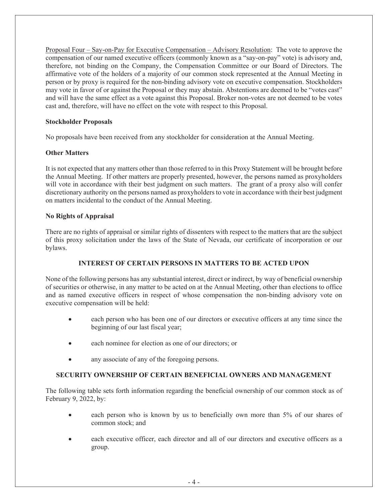Proposal Four – Say-on-Pay for Executive Compensation – Advisory Resolution: The vote to approve the compensation of our named executive officers (commonly known as a "say-on-pay" vote) is advisory and, therefore, not binding on the Company, the Compensation Committee or our Board of Directors. The affirmative vote of the holders of a majority of our common stock represented at the Annual Meeting in person or by proxy is required for the non-binding advisory vote on executive compensation. Stockholders may vote in favor of or against the Proposal or they may abstain. Abstentions are deemed to be "votes cast" and will have the same effect as a vote against this Proposal. Broker non-votes are not deemed to be votes cast and, therefore, will have no effect on the vote with respect to this Proposal.

# **Stockholder Proposals**

No proposals have been received from any stockholder for consideration at the Annual Meeting.

# **Other Matters**

It is not expected that any matters other than those referred to in this Proxy Statement will be brought before the Annual Meeting. If other matters are properly presented, however, the persons named as proxyholders will vote in accordance with their best judgment on such matters. The grant of a proxy also will confer discretionary authority on the persons named as proxyholders to vote in accordance with their best judgment on matters incidental to the conduct of the Annual Meeting.

# **No Rights of Appraisal**

There are no rights of appraisal or similar rights of dissenters with respect to the matters that are the subject of this proxy solicitation under the laws of the State of Nevada, our certificate of incorporation or our bylaws.

# **INTEREST OF CERTAIN PERSONS IN MATTERS TO BE ACTED UPON**

None of the following persons has any substantial interest, direct or indirect, by way of beneficial ownership of securities or otherwise, in any matter to be acted on at the Annual Meeting, other than elections to office and as named executive officers in respect of whose compensation the non-binding advisory vote on executive compensation will be held:

- each person who has been one of our directors or executive officers at any time since the beginning of our last fiscal year;
- each nominee for election as one of our directors; or
- any associate of any of the foregoing persons.

# **SECURITY OWNERSHIP OF CERTAIN BENEFICIAL OWNERS AND MANAGEMENT**

The following table sets forth information regarding the beneficial ownership of our common stock as of February 9, 2022, by:

- each person who is known by us to beneficially own more than 5% of our shares of common stock; and
- each executive officer, each director and all of our directors and executive officers as a group.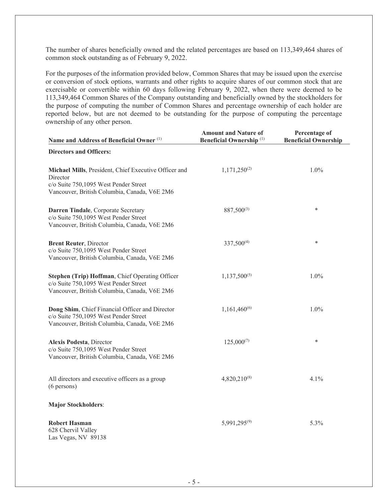The number of shares beneficially owned and the related percentages are based on 113,349,464 shares of common stock outstanding as of February 9, 2022.

For the purposes of the information provided below, Common Shares that may be issued upon the exercise or conversion of stock options, warrants and other rights to acquire shares of our common stock that are exercisable or convertible within 60 days following February 9, 2022, when there were deemed to be 113,349,464 Common Shares of the Company outstanding and beneficially owned by the stockholders for the purpose of computing the number of Common Shares and percentage ownership of each holder are reported below, but are not deemed to be outstanding for the purpose of computing the percentage ownership of any other person.

| Name and Address of Beneficial Owner <sup>(1)</sup>                                                                                                        | <b>Amount and Nature of</b><br><b>Beneficial Ownership</b> <sup>(1)</sup> | Percentage of<br><b>Beneficial Ownership</b> |
|------------------------------------------------------------------------------------------------------------------------------------------------------------|---------------------------------------------------------------------------|----------------------------------------------|
| <b>Directors and Officers:</b>                                                                                                                             |                                                                           |                                              |
| Michael Mills, President, Chief Executive Officer and<br>Director<br>c/o Suite 750,1095 West Pender Street<br>Vancouver, British Columbia, Canada, V6E 2M6 | $1,171,250^{(2)}$                                                         | 1.0%                                         |
| Darren Tindale, Corporate Secretary<br>c/o Suite 750,1095 West Pender Street<br>Vancouver, British Columbia, Canada, V6E 2M6                               | $887,500^{(3)}$                                                           | $\ast$                                       |
| <b>Brent Reuter, Director</b><br>c/o Suite 750,1095 West Pender Street<br>Vancouver, British Columbia, Canada, V6E 2M6                                     | $337,500^{(4)}$                                                           | ∗                                            |
| Stephen (Trip) Hoffman, Chief Operating Officer<br>c/o Suite 750,1095 West Pender Street<br>Vancouver, British Columbia, Canada, V6E 2M6                   | $1,137,500^{(5)}$                                                         | 1.0%                                         |
| Dong Shim, Chief Financial Officer and Director<br>c/o Suite 750,1095 West Pender Street<br>Vancouver, British Columbia, Canada, V6E 2M6                   | $1,161,460^{(6)}$                                                         | $1.0\%$                                      |
| Alexis Podesta, Director<br>c/o Suite 750,1095 West Pender Street<br>Vancouver, British Columbia, Canada, V6E 2M6                                          | $125,000^{(7)}$                                                           | ∗                                            |
| All directors and executive officers as a group<br>$(6$ persons)                                                                                           | $4,820,210^{(8)}$                                                         | 4.1%                                         |
| <b>Major Stockholders:</b>                                                                                                                                 |                                                                           |                                              |
| <b>Robert Hasman</b><br>628 Chervil Valley<br>Las Vegas, NV 89138                                                                                          | $5,991,295^{(9)}$                                                         | 5.3%                                         |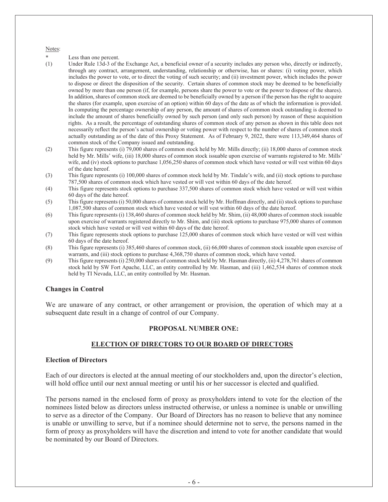#### Notes:

- Less than one percent.
- (1) Under Rule 13d-3 of the Exchange Act, a beneficial owner of a security includes any person who, directly or indirectly, through any contract, arrangement, understanding, relationship or otherwise, has or shares: (i) voting power, which includes the power to vote, or to direct the voting of such security; and (ii) investment power, which includes the power to dispose or direct the disposition of the security. Certain shares of common stock may be deemed to be beneficially owned by more than one person (if, for example, persons share the power to vote or the power to dispose of the shares). In addition, shares of common stock are deemed to be beneficially owned by a person if the person has the right to acquire the shares (for example, upon exercise of an option) within 60 days of the date as of which the information is provided. In computing the percentage ownership of any person, the amount of shares of common stock outstanding is deemed to include the amount of shares beneficially owned by such person (and only such person) by reason of these acquisition rights. As a result, the percentage of outstanding shares of common stock of any person as shown in this table does not necessarily reflect the person's actual ownership or voting power with respect to the number of shares of common stock actually outstanding as of the date of this Proxy Statement. As of February 9, 2022, there were 113,349,464 shares of common stock of the Company issued and outstanding.
- (2) This figure represents (i) 79,000 shares of common stock held by Mr. Mills directly; (ii) 18,000 shares of common stock held by Mr. Mills' wife, (iii) 18,000 shares of common stock issuable upon exercise of warrants registered to Mr. Mills' wife, and (iv) stock options to purchase 1,056,250 shares of common stock which have vested or will vest within 60 days of the date hereof.
- (3) This figure represents (i) 100,000 shares of common stock held by Mr. Tindale's wife, and (ii) stock options to purchase 787,500 shares of common stock which have vested or will vest within 60 days of the date hereof.
- (4) This figure represents stock options to purchase 337,500 shares of common stock which have vested or will vest within 60 days of the date hereof.
- (5) This figure represents (i) 50,000 shares of common stock held by Mr. Hoffman directly, and (ii) stock options to purchase 1,087,500 shares of common stock which have vested or will vest within 60 days of the date hereof.
- (6) This figure represents (i) 138,460 shares of common stock held by Mr. Shim, (ii) 48,000 shares of common stock issuable upon exercise of warrants registered directly to Mr. Shim, and (iii) stock options to purchase 975,000 shares of common stock which have vested or will vest within 60 days of the date hereof.
- (7) This figure represents stock options to purchase 125,000 shares of common stock which have vested or will vest within 60 days of the date hereof.
- (8) This figure represents (i) 385,460 shares of common stock, (ii) 66,000 shares of common stock issuable upon exercise of warrants, and (iii) stock options to purchase 4,368,750 shares of common stock, which have vested.
- (9) This figure represents (i) 250,000 shares of common stock held by Mr. Hasman directly, (ii) 4,278,761 shares of common stock held by SW Fort Apache, LLC, an entity controlled by Mr. Hasman, and (iii) 1,462,534 shares of common stock held by TI Nevada, LLC, an entity controlled by Mr. Hasman.

#### **Changes in Control**

We are unaware of any contract, or other arrangement or provision, the operation of which may at a subsequent date result in a change of control of our Company.

#### **PROPOSAL NUMBER ONE:**

### **ELECTION OF DIRECTORS TO OUR BOARD OF DIRECTORS**

#### **Election of Directors**

Each of our directors is elected at the annual meeting of our stockholders and, upon the director's election, will hold office until our next annual meeting or until his or her successor is elected and qualified.

The persons named in the enclosed form of proxy as proxyholders intend to vote for the election of the nominees listed below as directors unless instructed otherwise, or unless a nominee is unable or unwilling to serve as a director of the Company. Our Board of Directors has no reason to believe that any nominee is unable or unwilling to serve, but if a nominee should determine not to serve, the persons named in the form of proxy as proxyholders will have the discretion and intend to vote for another candidate that would be nominated by our Board of Directors.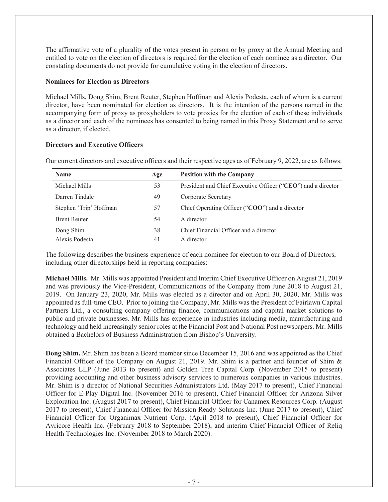The affirmative vote of a plurality of the votes present in person or by proxy at the Annual Meeting and entitled to vote on the election of directors is required for the election of each nominee as a director. Our constating documents do not provide for cumulative voting in the election of directors.

# **Nominees for Election as Directors**

Michael Mills, Dong Shim, Brent Reuter, Stephen Hoffman and Alexis Podesta, each of whom is a current director, have been nominated for election as directors. It is the intention of the persons named in the accompanying form of proxy as proxyholders to vote proxies for the election of each of these individuals as a director and each of the nominees has consented to being named in this Proxy Statement and to serve as a director, if elected.

# **Directors and Executive Officers**

Our current directors and executive officers and their respective ages as of February 9, 2022, are as follows:

| <b>Name</b>            | Age | <b>Position with the Company</b>                             |
|------------------------|-----|--------------------------------------------------------------|
| Michael Mills          | 53  | President and Chief Executive Officer ("CEO") and a director |
| Darren Tindale         | 49  | Corporate Secretary                                          |
| Stephen 'Trip' Hoffman | 57  | Chief Operating Officer ("COO") and a director               |
| <b>Brent Reuter</b>    | 54  | A director                                                   |
| Dong Shim              | 38  | Chief Financial Officer and a director                       |
| Alexis Podesta         | 41  | A director                                                   |

The following describes the business experience of each nominee for election to our Board of Directors, including other directorships held in reporting companies:

**Michael Mills.** Mr. Mills was appointed President and Interim Chief Executive Officer on August 21, 2019 and was previously the Vice-President, Communications of the Company from June 2018 to August 21, 2019. On January 23, 2020, Mr. Mills was elected as a director and on April 30, 2020, Mr. Mills was appointed as full-time CEO. Prior to joining the Company, Mr. Mills was the President of Fairlawn Capital Partners Ltd., a consulting company offering finance, communications and capital market solutions to public and private businesses. Mr. Mills has experience in industries including media, manufacturing and technology and held increasingly senior roles at the Financial Post and National Post newspapers. Mr. Mills obtained a Bachelors of Business Administration from Bishop's University.

**Dong Shim.** Mr. Shim has been a Board member since December 15, 2016 and was appointed as the Chief Financial Officer of the Company on August 21, 2019. Mr. Shim is a partner and founder of Shim & Associates LLP (June 2013 to present) and Golden Tree Capital Corp. (November 2015 to present) providing accounting and other business advisory services to numerous companies in various industries. Mr. Shim is a director of National Securities Administrators Ltd. (May 2017 to present), Chief Financial Officer for E-Play Digital Inc. (November 2016 to present), Chief Financial Officer for Arizona Silver Exploration Inc. (August 2017 to present), Chief Financial Officer for Canamex Resources Corp. (August 2017 to present), Chief Financial Officer for Mission Ready Solutions Inc. (June 2017 to present), Chief Financial Officer for Organimax Nutrient Corp. (April 2018 to present), Chief Financial Officer for Avricore Health Inc. (February 2018 to September 2018), and interim Chief Financial Officer of Reliq Health Technologies Inc. (November 2018 to March 2020).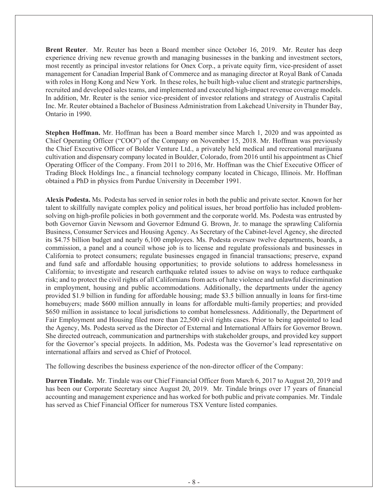**Brent Reuter**. Mr. Reuter has been a Board member since October 16, 2019. Mr. Reuter has deep experience driving new revenue growth and managing businesses in the banking and investment sectors, most recently as principal investor relations for Onex Corp., a private equity firm, vice-president of asset management for Canadian Imperial Bank of Commerce and as managing director at Royal Bank of Canada with roles in Hong Kong and New York. In these roles, he built high-value client and strategic partnerships, recruited and developed sales teams, and implemented and executed high-impact revenue coverage models. In addition, Mr. Reuter is the senior vice-president of investor relations and strategy of Australis Capital Inc. Mr. Reuter obtained a Bachelor of Business Administration from Lakehead University in Thunder Bay, Ontario in 1990.

**Stephen Hoffman.** Mr. Hoffman has been a Board member since March 1, 2020 and was appointed as Chief Operating Officer ("COO") of the Company on November 15, 2018. Mr. Hoffman was previously the Chief Executive Officer of Bolder Venture Ltd., a privately held medical and recreational marijuana cultivation and dispensary company located in Boulder, Colorado, from 2016 until his appointment as Chief Operating Officer of the Company. From 2011 to 2016, Mr. Hoffman was the Chief Executive Officer of Trading Block Holdings Inc., a financial technology company located in Chicago, Illinois. Mr. Hoffman obtained a PhD in physics from Purdue University in December 1991.

**Alexis Podesta.** Ms. Podesta has served in senior roles in both the public and private sector. Known for her talent to skillfully navigate complex policy and political issues, her broad portfolio has included problemsolving on high-profile policies in both government and the corporate world. Ms. Podesta was entrusted by both Governor Gavin Newsom and Governor Edmund G. Brown, Jr. to manage the sprawling California Business, Consumer Services and Housing Agency. As Secretary of the Cabinet-level Agency, she directed its \$4.75 billion budget and nearly 6,100 employees. Ms. Podesta oversaw twelve departments, boards, a commission, a panel and a council whose job is to license and regulate professionals and businesses in California to protect consumers; regulate businesses engaged in financial transactions; preserve, expand and fund safe and affordable housing opportunities; to provide solutions to address homelessness in California; to investigate and research earthquake related issues to advise on ways to reduce earthquake risk; and to protect the civil rights of all Californians from acts of hate violence and unlawful discrimination in employment, housing and public accommodations. Additionally, the departments under the agency provided \$1.9 billion in funding for affordable housing; made \$3.5 billion annually in loans for first-time homebuyers; made \$600 million annually in loans for affordable multi-family properties; and provided \$650 million in assistance to local jurisdictions to combat homelessness. Additionally, the Department of Fair Employment and Housing filed more than 22,500 civil rights cases. Prior to being appointed to lead the Agency, Ms. Podesta served as the Director of External and International Affairs for Governor Brown. She directed outreach, communication and partnerships with stakeholder groups, and provided key support for the Governor's special projects. In addition, Ms. Podesta was the Governor's lead representative on international affairs and served as Chief of Protocol.

The following describes the business experience of the non-director officer of the Company:

**Darren Tindale.** Mr. Tindale was our Chief Financial Officer from March 6, 2017 to August 20, 2019 and has been our Corporate Secretary since August 20, 2019. Mr. Tindale brings over 17 years of financial accounting and management experience and has worked for both public and private companies. Mr. Tindale has served as Chief Financial Officer for numerous TSX Venture listed companies.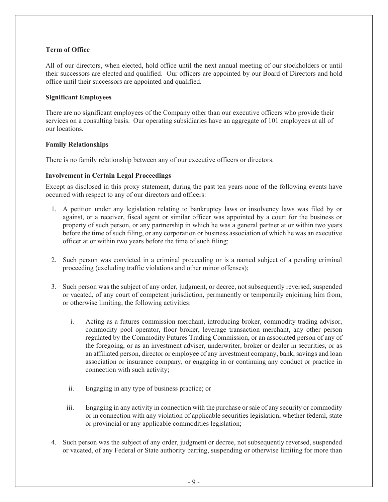# **Term of Office**

All of our directors, when elected, hold office until the next annual meeting of our stockholders or until their successors are elected and qualified. Our officers are appointed by our Board of Directors and hold office until their successors are appointed and qualified.

# **Significant Employees**

There are no significant employees of the Company other than our executive officers who provide their services on a consulting basis. Our operating subsidiaries have an aggregate of 101 employees at all of our locations.

### **Family Relationships**

There is no family relationship between any of our executive officers or directors.

# **Involvement in Certain Legal Proceedings**

Except as disclosed in this proxy statement, during the past ten years none of the following events have occurred with respect to any of our directors and officers:

- 1. A petition under any legislation relating to bankruptcy laws or insolvency laws was filed by or against, or a receiver, fiscal agent or similar officer was appointed by a court for the business or property of such person, or any partnership in which he was a general partner at or within two years before the time of such filing, or any corporation or business association of which he was an executive officer at or within two years before the time of such filing;
- 2. Such person was convicted in a criminal proceeding or is a named subject of a pending criminal proceeding (excluding traffic violations and other minor offenses);
- 3. Such person was the subject of any order, judgment, or decree, not subsequently reversed, suspended or vacated, of any court of competent jurisdiction, permanently or temporarily enjoining him from, or otherwise limiting, the following activities:
	- i. Acting as a futures commission merchant, introducing broker, commodity trading advisor, commodity pool operator, floor broker, leverage transaction merchant, any other person regulated by the Commodity Futures Trading Commission, or an associated person of any of the foregoing, or as an investment adviser, underwriter, broker or dealer in securities, or as an affiliated person, director or employee of any investment company, bank, savings and loan association or insurance company, or engaging in or continuing any conduct or practice in connection with such activity;
	- ii. Engaging in any type of business practice; or
	- iii. Engaging in any activity in connection with the purchase or sale of any security or commodity or in connection with any violation of applicable securities legislation, whether federal, state or provincial or any applicable commodities legislation;
- 4. Such person was the subject of any order, judgment or decree, not subsequently reversed, suspended or vacated, of any Federal or State authority barring, suspending or otherwise limiting for more than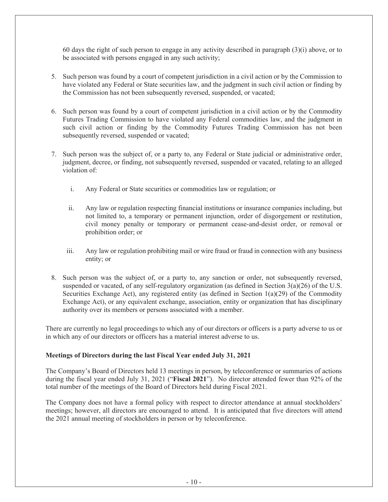60 days the right of such person to engage in any activity described in paragraph (3)(i) above, or to be associated with persons engaged in any such activity;

- 5. Such person was found by a court of competent jurisdiction in a civil action or by the Commission to have violated any Federal or State securities law, and the judgment in such civil action or finding by the Commission has not been subsequently reversed, suspended, or vacated;
- 6. Such person was found by a court of competent jurisdiction in a civil action or by the Commodity Futures Trading Commission to have violated any Federal commodities law, and the judgment in such civil action or finding by the Commodity Futures Trading Commission has not been subsequently reversed, suspended or vacated;
- 7. Such person was the subject of, or a party to, any Federal or State judicial or administrative order, judgment, decree, or finding, not subsequently reversed, suspended or vacated, relating to an alleged violation of:
	- i. Any Federal or State securities or commodities law or regulation; or
	- ii. Any law or regulation respecting financial institutions or insurance companies including, but not limited to, a temporary or permanent injunction, order of disgorgement or restitution, civil money penalty or temporary or permanent cease-and-desist order, or removal or prohibition order; or
	- iii. Any law or regulation prohibiting mail or wire fraud or fraud in connection with any business entity; or
- 8. Such person was the subject of, or a party to, any sanction or order, not subsequently reversed, suspended or vacated, of any self-regulatory organization (as defined in Section 3(a)(26) of the U.S. Securities Exchange Act), any registered entity (as defined in Section 1(a)(29) of the Commodity Exchange Act), or any equivalent exchange, association, entity or organization that has disciplinary authority over its members or persons associated with a member.

There are currently no legal proceedings to which any of our directors or officers is a party adverse to us or in which any of our directors or officers has a material interest adverse to us.

### **Meetings of Directors during the last Fiscal Year ended July 31, 2021**

The Company's Board of Directors held 13 meetings in person, by teleconference or summaries of actions during the fiscal year ended July 31, 2021 ("**Fiscal 2021**"). No director attended fewer than 92% of the total number of the meetings of the Board of Directors held during Fiscal 2021.

The Company does not have a formal policy with respect to director attendance at annual stockholders' meetings; however, all directors are encouraged to attend. It is anticipated that five directors will attend the 2021 annual meeting of stockholders in person or by teleconference.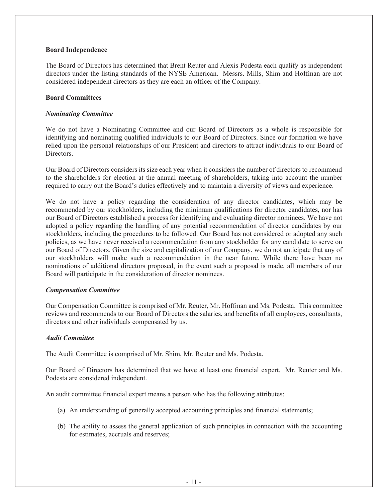#### **Board Independence**

The Board of Directors has determined that Brent Reuter and Alexis Podesta each qualify as independent directors under the listing standards of the NYSE American. Messrs. Mills, Shim and Hoffman are not considered independent directors as they are each an officer of the Company.

# **Board Committees**

### *Nominating Committee*

We do not have a Nominating Committee and our Board of Directors as a whole is responsible for identifying and nominating qualified individuals to our Board of Directors. Since our formation we have relied upon the personal relationships of our President and directors to attract individuals to our Board of Directors.

Our Board of Directors considers its size each year when it considers the number of directors to recommend to the shareholders for election at the annual meeting of shareholders, taking into account the number required to carry out the Board's duties effectively and to maintain a diversity of views and experience.

We do not have a policy regarding the consideration of any director candidates, which may be recommended by our stockholders, including the minimum qualifications for director candidates, nor has our Board of Directors established a process for identifying and evaluating director nominees. We have not adopted a policy regarding the handling of any potential recommendation of director candidates by our stockholders, including the procedures to be followed. Our Board has not considered or adopted any such policies, as we have never received a recommendation from any stockholder for any candidate to serve on our Board of Directors. Given the size and capitalization of our Company, we do not anticipate that any of our stockholders will make such a recommendation in the near future. While there have been no nominations of additional directors proposed, in the event such a proposal is made, all members of our Board will participate in the consideration of director nominees.

### *Compensation Committee*

Our Compensation Committee is comprised of Mr. Reuter, Mr. Hoffman and Ms. Podesta. This committee reviews and recommends to our Board of Directors the salaries, and benefits of all employees, consultants, directors and other individuals compensated by us.

### *Audit Committee*

The Audit Committee is comprised of Mr. Shim, Mr. Reuter and Ms. Podesta.

Our Board of Directors has determined that we have at least one financial expert. Mr. Reuter and Ms. Podesta are considered independent.

An audit committee financial expert means a person who has the following attributes:

- (a) An understanding of generally accepted accounting principles and financial statements;
- (b) The ability to assess the general application of such principles in connection with the accounting for estimates, accruals and reserves;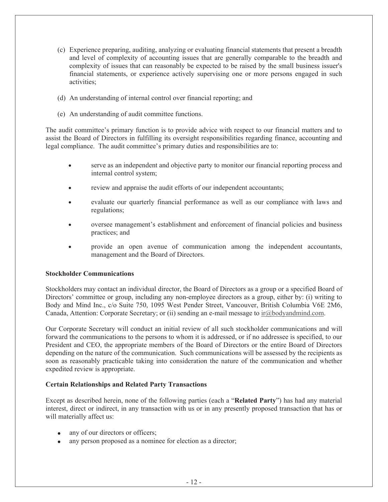- (c) Experience preparing, auditing, analyzing or evaluating financial statements that present a breadth and level of complexity of accounting issues that are generally comparable to the breadth and complexity of issues that can reasonably be expected to be raised by the small business issuer's financial statements, or experience actively supervising one or more persons engaged in such activities;
- (d) An understanding of internal control over financial reporting; and
- (e) An understanding of audit committee functions.

The audit committee's primary function is to provide advice with respect to our financial matters and to assist the Board of Directors in fulfilling its oversight responsibilities regarding finance, accounting and legal compliance. The audit committee's primary duties and responsibilities are to:

- x serve as an independent and objective party to monitor our financial reporting process and internal control system;
- review and appraise the audit efforts of our independent accountants;
- evaluate our quarterly financial performance as well as our compliance with laws and regulations;
- x oversee management's establishment and enforcement of financial policies and business practices; and
- x provide an open avenue of communication among the independent accountants, management and the Board of Directors.

### **Stockholder Communications**

Stockholders may contact an individual director, the Board of Directors as a group or a specified Board of Directors' committee or group, including any non-employee directors as a group, either by: (i) writing to Body and Mind Inc., c/o Suite 750, 1095 West Pender Street, Vancouver, British Columbia V6E 2M6, Canada, Attention: Corporate Secretary; or (ii) sending an e-mail message to  $ir@body andmind.com$ .

Our Corporate Secretary will conduct an initial review of all such stockholder communications and will forward the communications to the persons to whom it is addressed, or if no addressee is specified, to our President and CEO, the appropriate members of the Board of Directors or the entire Board of Directors depending on the nature of the communication. Such communications will be assessed by the recipients as soon as reasonably practicable taking into consideration the nature of the communication and whether expedited review is appropriate.

### **Certain Relationships and Related Party Transactions**

Except as described herein, none of the following parties (each a "**Related Party**") has had any material interest, direct or indirect, in any transaction with us or in any presently proposed transaction that has or will materially affect us:

- any of our directors or officers;
- $\bullet$  any person proposed as a nominee for election as a director;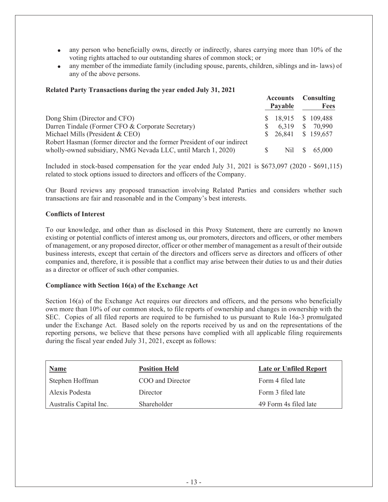- any person who beneficially owns, directly or indirectly, shares carrying more than 10% of the voting rights attached to our outstanding shares of common stock; or
- any member of the immediate family (including spouse, parents, children, siblings and in- laws) of any of the above persons.

#### **Related Party Transactions during the year ended July 31, 2021**

|                                                                         |    | <b>Accounts</b><br>Payable | <b>Consulting</b><br><b>Fees</b> |
|-------------------------------------------------------------------------|----|----------------------------|----------------------------------|
| Dong Shim (Director and CFO)                                            |    | $$18,915$ $$109,488$       |                                  |
| Darren Tindale (Former CFO & Corporate Secretary)                       | S. | 6,319                      | \$70,990                         |
| Michael Mills (President & CEO)                                         |    | $$26,841$ $$159,657$       |                                  |
| Robert Hasman (former director and the former President of our indirect |    |                            |                                  |
| wholly-owned subsidiary, NMG Nevada LLC, until March 1, 2020)           |    | Nil S                      | 65,000                           |

Included in stock-based compensation for the year ended July 31, 2021 is \$673,097 (2020 - \$691,115) related to stock options issued to directors and officers of the Company.

Our Board reviews any proposed transaction involving Related Parties and considers whether such transactions are fair and reasonable and in the Company's best interests.

### **Conflicts of Interest**

To our knowledge, and other than as disclosed in this Proxy Statement, there are currently no known existing or potential conflicts of interest among us, our promoters, directors and officers, or other members of management, or any proposed director, officer or other member of management as a result of their outside business interests, except that certain of the directors and officers serve as directors and officers of other companies and, therefore, it is possible that a conflict may arise between their duties to us and their duties as a director or officer of such other companies.

### **Compliance with Section 16(a) of the Exchange Act**

Section 16(a) of the Exchange Act requires our directors and officers, and the persons who beneficially own more than 10% of our common stock, to file reports of ownership and changes in ownership with the SEC. Copies of all filed reports are required to be furnished to us pursuant to Rule 16a-3 promulgated under the Exchange Act. Based solely on the reports received by us and on the representations of the reporting persons, we believe that these persons have complied with all applicable filing requirements during the fiscal year ended July 31, 2021, except as follows:

| <b>Name</b>            | <b>Position Held</b> | <b>Late or Unfiled Report</b> |
|------------------------|----------------------|-------------------------------|
| Stephen Hoffman        | COO and Director     | Form 4 filed late             |
| Alexis Podesta         | Director             | Form 3 filed late             |
| Australis Capital Inc. | <b>Shareholder</b>   | 49 Form 4s filed late         |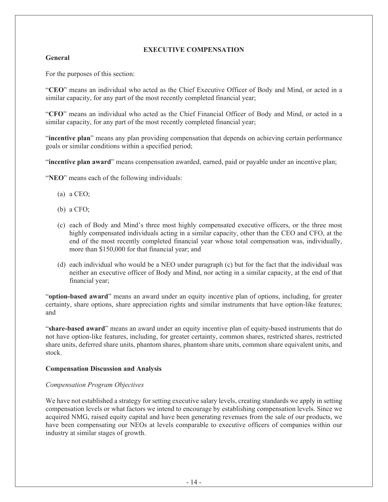# **EXECUTIVE COMPENSATION**

# **General**

For the purposes of this section:

"**CEO**" means an individual who acted as the Chief Executive Officer of Body and Mind, or acted in a similar capacity, for any part of the most recently completed financial year;

"**CFO**" means an individual who acted as the Chief Financial Officer of Body and Mind, or acted in a similar capacity, for any part of the most recently completed financial year;

"**incentive plan**" means any plan providing compensation that depends on achieving certain performance goals or similar conditions within a specified period;

"**incentive plan award**" means compensation awarded, earned, paid or payable under an incentive plan;

"**NEO**" means each of the following individuals:

- (a) a CEO;
- (b) a CFO;
- (c) each of Body and Mind's three most highly compensated executive officers, or the three most highly compensated individuals acting in a similar capacity, other than the CEO and CFO, at the end of the most recently completed financial year whose total compensation was, individually, more than \$150,000 for that financial year; and
- (d) each individual who would be a NEO under paragraph (c) but for the fact that the individual was neither an executive officer of Body and Mind, nor acting in a similar capacity, at the end of that financial year;

"**option-based award**" means an award under an equity incentive plan of options, including, for greater certainty, share options, share appreciation rights and similar instruments that have option-like features; and

"**share-based award**" means an award under an equity incentive plan of equity-based instruments that do not have option-like features, including, for greater certainty, common shares, restricted shares, restricted share units, deferred share units, phantom shares, phantom share units, common share equivalent units, and stock.

### **Compensation Discussion and Analysis**

### *Compensation Program Objectives*

We have not established a strategy for setting executive salary levels, creating standards we apply in setting compensation levels or what factors we intend to encourage by establishing compensation levels. Since we acquired NMG, raised equity capital and have been generating revenues from the sale of our products, we have been compensating our NEOs at levels comparable to executive officers of companies within our industry at similar stages of growth.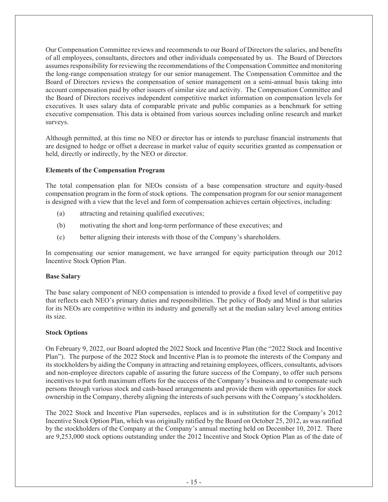Our Compensation Committee reviews and recommends to our Board of Directors the salaries, and benefits of all employees, consultants, directors and other individuals compensated by us. The Board of Directors assumes responsibility for reviewing the recommendations of the Compensation Committee and monitoring the long-range compensation strategy for our senior management. The Compensation Committee and the Board of Directors reviews the compensation of senior management on a semi-annual basis taking into account compensation paid by other issuers of similar size and activity. The Compensation Committee and the Board of Directors receives independent competitive market information on compensation levels for executives. It uses salary data of comparable private and public companies as a benchmark for setting executive compensation. This data is obtained from various sources including online research and market surveys.

Although permitted, at this time no NEO or director has or intends to purchase financial instruments that are designed to hedge or offset a decrease in market value of equity securities granted as compensation or held, directly or indirectly, by the NEO or director.

# **Elements of the Compensation Program**

The total compensation plan for NEOs consists of a base compensation structure and equity-based compensation program in the form of stock options. The compensation program for our senior management is designed with a view that the level and form of compensation achieves certain objectives, including:

- (a) attracting and retaining qualified executives;
- (b) motivating the short and long-term performance of these executives; and
- (c) better aligning their interests with those of the Company's shareholders.

In compensating our senior management, we have arranged for equity participation through our 2012 Incentive Stock Option Plan.

### **Base Salary**

The base salary component of NEO compensation is intended to provide a fixed level of competitive pay that reflects each NEO's primary duties and responsibilities. The policy of Body and Mind is that salaries for its NEOs are competitive within its industry and generally set at the median salary level among entities its size.

### **Stock Options**

On February 9, 2022, our Board adopted the 2022 Stock and Incentive Plan (the "2022 Stock and Incentive Plan"). The purpose of the 2022 Stock and Incentive Plan is to promote the interests of the Company and its stockholders by aiding the Company in attracting and retaining employees, officers, consultants, advisors and non-employee directors capable of assuring the future success of the Company, to offer such persons incentives to put forth maximum efforts for the success of the Company's business and to compensate such persons through various stock and cash-based arrangements and provide them with opportunities for stock ownership in the Company, thereby aligning the interests of such persons with the Company's stockholders.

The 2022 Stock and Incentive Plan supersedes, replaces and is in substitution for the Company's 2012 Incentive Stock Option Plan, which was originally ratified by the Board on October 25, 2012, as was ratified by the stockholders of the Company at the Company's annual meeting held on December 10, 2012. There are 9,253,000 stock options outstanding under the 2012 Incentive and Stock Option Plan as of the date of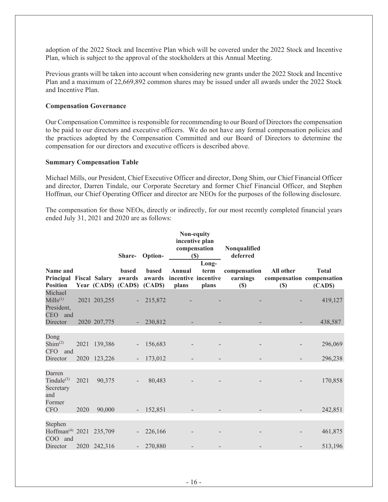adoption of the 2022 Stock and Incentive Plan which will be covered under the 2022 Stock and Incentive Plan, which is subject to the approval of the stockholders at this Annual Meeting.

Previous grants will be taken into account when considering new grants under the 2022 Stock and Incentive Plan and a maximum of 22,669,892 common shares may be issued under all awards under the 2022 Stock and Incentive Plan.

#### **Compensation Governance**

Our Compensation Committee is responsible for recommending to our Board of Directors the compensation to be paid to our directors and executive officers. We do not have any formal compensation policies and the practices adopted by the Compensation Committed and our Board of Directors to determine the compensation for our directors and executive officers is described above.

#### **Summary Compensation Table**

Michael Mills, our President, Chief Executive Officer and director, Dong Shim, our Chief Financial Officer and director, Darren Tindale, our Corporate Secretary and former Chief Financial Officer, and Stephen Hoffman, our Chief Operating Officer and director are NEOs for the purposes of the following disclosure.

The compensation for those NEOs, directly or indirectly, for our most recently completed financial years ended July 31, 2021 and 2020 are as follows:

|                                                               |      |              | Share-                                              | <b>Option-</b>  |                 | Non-equity<br>incentive plan<br>compensation<br>(S) | Nonqualified<br>deferred           |                                         |                                                     |
|---------------------------------------------------------------|------|--------------|-----------------------------------------------------|-----------------|-----------------|-----------------------------------------------------|------------------------------------|-----------------------------------------|-----------------------------------------------------|
| Name and<br><b>Principal Fiscal Salary</b><br><b>Position</b> |      |              | <b>based</b><br>awards<br>Year (CADS) (CADS) (CADS) | based<br>awards | Annual<br>plans | Long-<br>term<br>incentive incentive<br>plans       | compensation<br>earnings<br>$(\$)$ | All other<br>$\left( \mathbb{S}\right)$ | <b>Total</b><br>compensation compensation<br>(CADS) |
| Michael<br>$Mills^{(1)}$<br>President,<br>CEO and             |      | 2021 203,255 |                                                     | $-215,872$      |                 |                                                     |                                    |                                         | 419,127                                             |
| Director                                                      |      | 2020 207,775 |                                                     | 230,812         |                 |                                                     |                                    |                                         | 438,587                                             |
| Dong<br>Shim <sup>(2)</sup><br><b>CFO</b><br>and              | 2021 | 139,386      |                                                     | 156,683         |                 |                                                     |                                    |                                         | 296,069                                             |
| Director                                                      |      | 2020 123,226 | $ \,$                                               | 173,012         |                 |                                                     |                                    |                                         | 296,238                                             |
| Darren<br>Tindale $^{(3)}$<br>Secretary<br>and                | 2021 | 90,375       |                                                     | 80,483          |                 |                                                     |                                    |                                         | 170,858                                             |
| Former<br><b>CFO</b>                                          | 2020 | 90,000       | $ \,$                                               | 152,851         |                 |                                                     |                                    |                                         | 242,851                                             |
| Stephen<br>Hoffman <sup>(4)</sup> 2021<br>COO and             |      | 235,709      |                                                     | 226,166         |                 |                                                     |                                    |                                         | 461,875                                             |
| Director                                                      |      | 2020 242,316 | $\sim$                                              | 270,880         |                 |                                                     |                                    |                                         | 513,196                                             |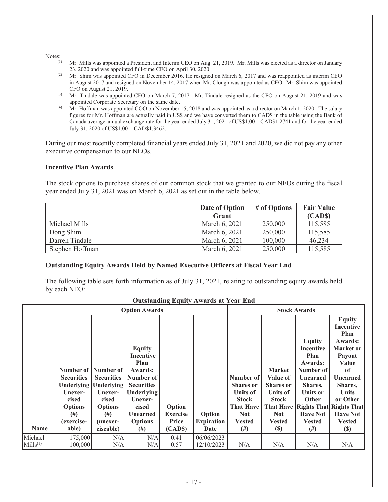#### Notes:

- $\overline{^{(1)}}$  Mr. Mills was appointed a President and Interim CEO on Aug. 21, 2019. Mr. Mills was elected as a director on January 23, 2020 and was appointed full-time CEO on April 30, 2020.
- (2) Mr. Shim was appointed CFO in December 2016. He resigned on March 6, 2017 and was reappointed as interim CEO in August 2017 and resigned on November 14, 2017 when Mr. Clough was appointed as CEO. Mr. Shim was appointed CFO on August 21, 2019.
- (3) Mr. Tindale was appointed CFO on March 7, 2017. Mr. Tindale resigned as the CFO on August 21, 2019 and was appointed Corporate Secretary on the same date.
- (4) Mr. Hoffman was appointed COO on November 15, 2018 and was appointed as a director on March 1, 2020. The salary figures for Mr. Hoffman are actually paid in US\$ and we have converted them to CAD\$ in the table using the Bank of Canada average annual exchange rate for the year ended July 31, 2021 of US\$1.00 = CAD\$1.2741 and for the year ended July 31, 2020 of US\$1.00 = CAD\$1.3462.

During our most recently completed financial years ended July 31, 2021 and 2020, we did not pay any other executive compensation to our NEOs.

#### **Incentive Plan Awards**

The stock options to purchase shares of our common stock that we granted to our NEOs during the fiscal year ended July 31, 2021 was on March 6, 2021 as set out in the table below.

|                 | Date of Option | # of Options | <b>Fair Value</b> |
|-----------------|----------------|--------------|-------------------|
|                 | Grant          |              | (CADS)            |
| Michael Mills   | March 6, 2021  | 250,000      | 115,585           |
| Dong Shim       | March 6, 2021  | 250,000      | 115,585           |
| Darren Tindale  | March 6, 2021  | 100,000      | 46,234            |
| Stephen Hoffman | March 6, 2021  | 250,000      | 115,585           |

### **Outstanding Equity Awards Held by Named Executive Officers at Fiscal Year End**

The following table sets forth information as of July 31, 2021, relating to outstanding equity awards held by each NEO:

#### **Outstanding Equity Awards at Year End**

|               |                   |                       | <b>Option Awards</b> |                 |                   |                  |                  | <b>Stock Awards</b> |                                           |
|---------------|-------------------|-----------------------|----------------------|-----------------|-------------------|------------------|------------------|---------------------|-------------------------------------------|
|               |                   |                       |                      |                 |                   |                  |                  |                     | <b>Equity</b><br><b>Incentive</b><br>Plan |
|               |                   |                       |                      |                 |                   |                  |                  | <b>Equity</b>       | <b>Awards:</b>                            |
|               |                   |                       | <b>Equity</b>        |                 |                   |                  |                  | <b>Incentive</b>    | Market or                                 |
|               |                   |                       | Incentive            |                 |                   |                  |                  | Plan                | Payout                                    |
|               |                   |                       | <b>Plan</b>          |                 |                   |                  |                  | <b>Awards:</b>      | Value                                     |
|               |                   | Number of l Number of | <b>Awards:</b>       |                 |                   |                  | <b>Market</b>    | Number of           | of                                        |
|               | <b>Securities</b> | <b>Securities</b>     | Number of            |                 |                   | Number of        | Value of         | Unearned            | Unearned                                  |
|               | <b>Underlying</b> | <b>Underlying</b>     | <b>Securities</b>    |                 |                   | <b>Shares</b> or | <b>Shares or</b> | Shares.             | Shares,                                   |
|               | Unexer-           | Unexer-               | <b>Underlying</b>    |                 |                   | <b>Units of</b>  | <b>Units of</b>  | Units or            | <b>Units</b>                              |
|               | cised             | cised                 | Unexer-              |                 |                   | <b>Stock</b>     | <b>Stock</b>     | <b>Other</b>        | or Other                                  |
|               | <b>Options</b>    | <b>Options</b>        | cised                | Option          |                   | <b>That Have</b> |                  |                     | That Have Rights That Rights That         |
|               | $^{(#)}$          | $^{(#)}$              | <b>Unearned</b>      | <b>Exercise</b> | Option            | <b>Not</b>       | <b>Not</b>       | <b>Have Not</b>     | <b>Have Not</b>                           |
|               | (exercise-        | (unexer-              | <b>Options</b>       | Price           | <b>Expiration</b> | <b>Vested</b>    | <b>Vested</b>    | <b>Vested</b>       | <b>Vested</b>                             |
| <b>Name</b>   | able)             | ciseable)             | $^{(#)}$             | (CADS)          | Date              | $^{(#)}$         | <b>(S)</b>       | $^{(\#)}$           | <b>(\$)</b>                               |
| Michael       | 175,000           | N/A                   | N/A                  | 0.41            | 06/06/2023        |                  |                  |                     |                                           |
| $Mills^{(1)}$ | 100,000           | N/A                   | N/A                  | 0.57            | 12/10/2023        | N/A              | N/A              | N/A                 | N/A                                       |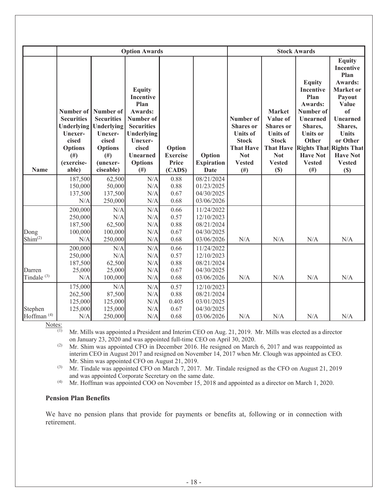|                                   |                                                                                                                 |                                                                                                                     | <b>Option Awards</b>                                                                                                                                                 |                                       |                                                                    |                                                                                                                     |                                                                                                                 | <b>Stock Awards</b>                                                                                                                                                                           |                                                                                                                                                                                                 |
|-----------------------------------|-----------------------------------------------------------------------------------------------------------------|---------------------------------------------------------------------------------------------------------------------|----------------------------------------------------------------------------------------------------------------------------------------------------------------------|---------------------------------------|--------------------------------------------------------------------|---------------------------------------------------------------------------------------------------------------------|-----------------------------------------------------------------------------------------------------------------|-----------------------------------------------------------------------------------------------------------------------------------------------------------------------------------------------|-------------------------------------------------------------------------------------------------------------------------------------------------------------------------------------------------|
|                                   | Number of<br><b>Securities</b><br><b>Underlying</b><br>Unexer-<br>cised<br><b>Options</b><br>(# )<br>(exercise- | Number of<br><b>Securities</b><br>Underlying<br>Unexer-<br>cised<br><b>Options</b><br>(# <sup>2</sup> )<br>(unexer- | <b>Equity</b><br><b>Incentive</b><br>Plan<br>Awards:<br>Number of<br><b>Securities</b><br><b>Underlying</b><br>Unexer-<br>cised<br><b>Unearned</b><br><b>Options</b> | Option<br><b>Exercise</b><br>Price    | Option<br><b>Expiration</b>                                        | Number of<br><b>Shares</b> or<br><b>Units</b> of<br><b>Stock</b><br><b>That Have</b><br><b>Not</b><br><b>Vested</b> | <b>Market</b><br>Value of<br><b>Shares</b> or<br><b>Units of</b><br><b>Stock</b><br><b>Not</b><br><b>Vested</b> | <b>Equity</b><br><b>Incentive</b><br>Plan<br>Awards:<br>Number of<br>Unearned<br>Shares,<br><b>Units or</b><br>Other<br>That Have Rights That Rights That<br><b>Have Not</b><br><b>Vested</b> | <b>Equity</b><br><b>Incentive</b><br>Plan<br><b>Awards:</b><br><b>Market</b> or<br>Payout<br>Value<br>of<br>Unearned<br>Shares,<br><b>Units</b><br>or Other<br><b>Have Not</b><br><b>Vested</b> |
| <b>Name</b>                       | able)                                                                                                           | ciseable)                                                                                                           | (# <sup>2</sup> )                                                                                                                                                    | (CADS)                                | Date                                                               | (#)                                                                                                                 | (S)                                                                                                             | (#)                                                                                                                                                                                           | (S)                                                                                                                                                                                             |
|                                   | 187,500<br>150,000<br>137,500<br>N/A                                                                            | 62,500<br>50,000<br>137,500<br>250,000                                                                              | N/A<br>N/A<br>N/A<br>N/A                                                                                                                                             | 0.88<br>0.88<br>0.67<br>0.68          | 08/21/2024<br>01/23/2025<br>04/30/2025<br>03/06/2026               |                                                                                                                     |                                                                                                                 |                                                                                                                                                                                               |                                                                                                                                                                                                 |
| Dong<br>Shim <sup>(2)</sup>       | 200,000<br>250,000<br>187,500<br>100,000<br>N/A                                                                 | N/A<br>N/A<br>62,500<br>100,000<br>250,000                                                                          | N/A<br>N/A<br>N/A<br>N/A<br>N/A                                                                                                                                      | 0.66<br>0.57<br>0.88<br>0.67<br>0.68  | 11/24/2022<br>12/10/2023<br>08/21/2024<br>04/30/2025<br>03/06/2026 | N/A                                                                                                                 | N/A                                                                                                             | N/A                                                                                                                                                                                           | N/A                                                                                                                                                                                             |
| Darren<br>Tindale <sup>(3)</sup>  | 200,000<br>250,000<br>187,500<br>25,000<br>N/A                                                                  | N/A<br>N/A<br>62,500<br>25,000<br>100,000                                                                           | N/A<br>N/A<br>N/A<br>N/A<br>N/A                                                                                                                                      | 0.66<br>0.57<br>0.88<br>0.67<br>0.68  | 11/24/2022<br>12/10/2023<br>08/21/2024<br>04/30/2025<br>03/06/2026 | N/A                                                                                                                 | N/A                                                                                                             | N/A                                                                                                                                                                                           | N/A                                                                                                                                                                                             |
| Stephen<br>Hoffman <sup>(4)</sup> | 175,000<br>262,500<br>125,000<br>125,000<br>N/A                                                                 | N/A<br>87,500<br>125,000<br>125,000<br>250,000                                                                      | N/A<br>N/A<br>N/A<br>N/A<br>N/A                                                                                                                                      | 0.57<br>0.88<br>0.405<br>0.67<br>0.68 | 12/10/2023<br>08/21/2024<br>03/01/2025<br>04/30/2025<br>03/06/2026 | N/A                                                                                                                 | N/A                                                                                                             | N/A                                                                                                                                                                                           | N/A                                                                                                                                                                                             |

 $\frac{\text{Notes:}}{\text{(1)}}$ 

 (1) Mr. Mills was appointed a President and Interim CEO on Aug. 21, 2019. Mr. Mills was elected as a director on January 23, 2020 and was appointed full-time CEO on April 30, 2020.

(2) Mr. Shim was appointed CFO in December 2016. He resigned on March 6, 2017 and was reappointed as interim CEO in August 2017 and resigned on November 14, 2017 when Mr. Clough was appointed as CEO. Mr. Shim was appointed CFO on August 21, 2019.

 (3) Mr. Tindale was appointed CFO on March 7, 2017. Mr. Tindale resigned as the CFO on August 21, 2019 and was appointed Corporate Secretary on the same date.

(4) Mr. Hoffman was appointed COO on November 15, 2018 and appointed as a director on March 1, 2020.

### **Pension Plan Benefits**

We have no pension plans that provide for payments or benefits at, following or in connection with retirement.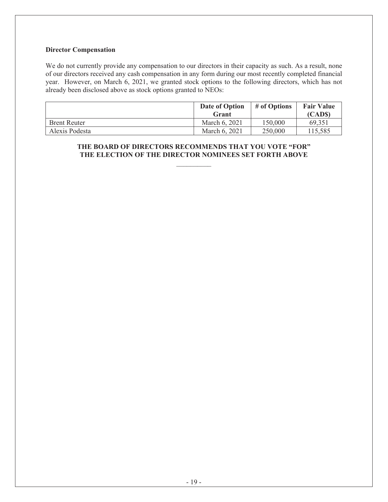# **Director Compensation**

We do not currently provide any compensation to our directors in their capacity as such. As a result, none of our directors received any cash compensation in any form during our most recently completed financial year. However, on March 6, 2021, we granted stock options to the following directors, which has not already been disclosed above as stock options granted to NEOs:

|                     | Date of Option | # of Options | <b>Fair Value</b> |
|---------------------|----------------|--------------|-------------------|
|                     | Grant          |              | (CADS)            |
| <b>Brent Reuter</b> | March 6, 2021  | 150,000      | 69,351            |
| Alexis Podesta      | March 6, 2021  | 250,000      | ' 15,585          |

# **THE BOARD OF DIRECTORS RECOMMENDS THAT YOU VOTE "FOR" THE ELECTION OF THE DIRECTOR NOMINEES SET FORTH ABOVE**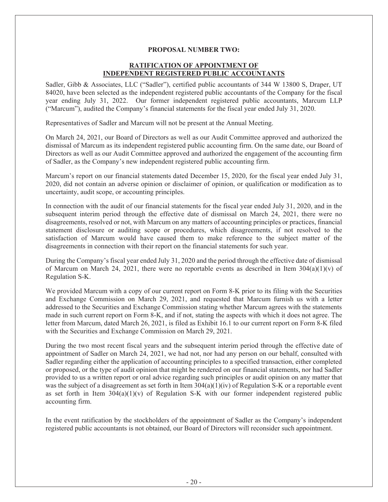### **PROPOSAL NUMBER TWO:**

### **RATIFICATION OF APPOINTMENT OF INDEPENDENT REGISTERED PUBLIC ACCOUNTANTS**

Sadler, Gibb & Associates, LLC ("Sadler"), certified public accountants of 344 W 13800 S, Draper, UT 84020, have been selected as the independent registered public accountants of the Company for the fiscal year ending July 31, 2022. Our former independent registered public accountants, Marcum LLP ("Marcum"), audited the Company's financial statements for the fiscal year ended July 31, 2020.

Representatives of Sadler and Marcum will not be present at the Annual Meeting.

On March 24, 2021, our Board of Directors as well as our Audit Committee approved and authorized the dismissal of Marcum as its independent registered public accounting firm. On the same date, our Board of Directors as well as our Audit Committee approved and authorized the engagement of the accounting firm of Sadler, as the Company's new independent registered public accounting firm.

Marcum's report on our financial statements dated December 15, 2020, for the fiscal year ended July 31, 2020, did not contain an adverse opinion or disclaimer of opinion, or qualification or modification as to uncertainty, audit scope, or accounting principles.

In connection with the audit of our financial statements for the fiscal year ended July 31, 2020, and in the subsequent interim period through the effective date of dismissal on March 24, 2021, there were no disagreements, resolved or not, with Marcum on any matters of accounting principles or practices, financial statement disclosure or auditing scope or procedures, which disagreements, if not resolved to the satisfaction of Marcum would have caused them to make reference to the subject matter of the disagreements in connection with their report on the financial statements for such year.

During the Company's fiscal year ended July 31, 2020 and the period through the effective date of dismissal of Marcum on March 24, 2021, there were no reportable events as described in Item  $304(a)(1)(v)$  of Regulation S-K.

We provided Marcum with a copy of our current report on Form 8-K prior to its filing with the Securities and Exchange Commission on March 29, 2021, and requested that Marcum furnish us with a letter addressed to the Securities and Exchange Commission stating whether Marcum agrees with the statements made in such current report on Form 8-K, and if not, stating the aspects with which it does not agree. The letter from Marcum, dated March 26, 2021, is filed as Exhibit 16.1 to our current report on Form 8-K filed with the Securities and Exchange Commission on March 29, 2021.

During the two most recent fiscal years and the subsequent interim period through the effective date of appointment of Sadler on March 24, 2021, we had not, nor had any person on our behalf, consulted with Sadler regarding either the application of accounting principles to a specified transaction, either completed or proposed, or the type of audit opinion that might be rendered on our financial statements, nor had Sadler provided to us a written report or oral advice regarding such principles or audit opinion on any matter that was the subject of a disagreement as set forth in Item  $304(a)(1)(iv)$  of Regulation S-K or a reportable event as set forth in Item 304(a)(1)(v) of Regulation S-K with our former independent registered public accounting firm.

In the event ratification by the stockholders of the appointment of Sadler as the Company's independent registered public accountants is not obtained, our Board of Directors will reconsider such appointment.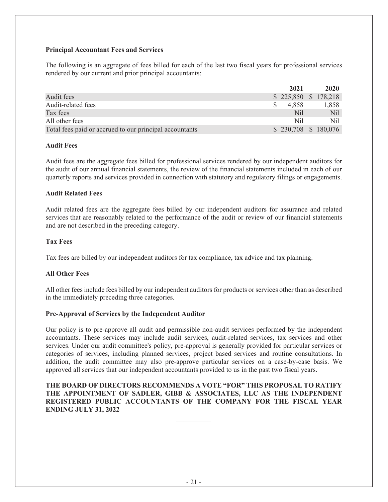# **Principal Accountant Fees and Services**

The following is an aggregate of fees billed for each of the last two fiscal years for professional services rendered by our current and prior principal accountants:

|                                                         | 2021  | 2020                  |  |
|---------------------------------------------------------|-------|-----------------------|--|
| Audit fees                                              |       | $$225,850 \$178,218$  |  |
| Audit-related fees                                      | 4.858 | 1,858                 |  |
| Tax fees                                                | Nil   | N <sub>il</sub>       |  |
| All other fees                                          | Nil   | N <sub>il</sub>       |  |
| Total fees paid or accrued to our principal accountants |       | $$230,708$ $$180,076$ |  |

### **Audit Fees**

Audit fees are the aggregate fees billed for professional services rendered by our independent auditors for the audit of our annual financial statements, the review of the financial statements included in each of our quarterly reports and services provided in connection with statutory and regulatory filings or engagements.

### **Audit Related Fees**

Audit related fees are the aggregate fees billed by our independent auditors for assurance and related services that are reasonably related to the performance of the audit or review of our financial statements and are not described in the preceding category.

### **Tax Fees**

Tax fees are billed by our independent auditors for tax compliance, tax advice and tax planning.

### **All Other Fees**

All other fees include fees billed by our independent auditors for products or services other than as described in the immediately preceding three categories.

### **Pre-Approval of Services by the Independent Auditor**

Our policy is to pre-approve all audit and permissible non-audit services performed by the independent accountants. These services may include audit services, audit-related services, tax services and other services. Under our audit committee's policy, pre-approval is generally provided for particular services or categories of services, including planned services, project based services and routine consultations. In addition, the audit committee may also pre-approve particular services on a case-by-case basis. We approved all services that our independent accountants provided to us in the past two fiscal years.

# **THE BOARD OF DIRECTORS RECOMMENDS A VOTE "FOR" THIS PROPOSAL TO RATIFY THE APPOINTMENT OF SADLER, GIBB & ASSOCIATES, LLC AS THE INDEPENDENT REGISTERED PUBLIC ACCOUNTANTS OF THE COMPANY FOR THE FISCAL YEAR ENDING JULY 31, 2022**

 $\mathcal{L}_\text{max}$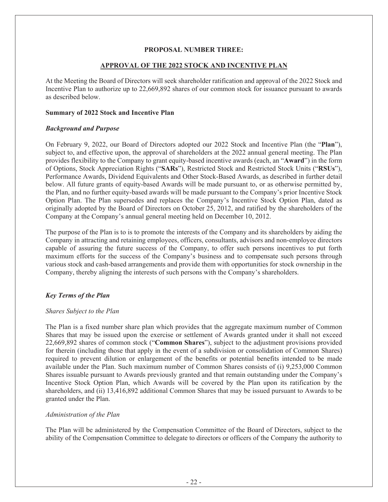#### **PROPOSAL NUMBER THREE:**

#### **APPROVAL OF THE 2022 STOCK AND INCENTIVE PLAN**

At the Meeting the Board of Directors will seek shareholder ratification and approval of the 2022 Stock and Incentive Plan to authorize up to 22,669,892 shares of our common stock for issuance pursuant to awards as described below.

#### **Summary of 2022 Stock and Incentive Plan**

#### *Background and Purpose*

On February 9, 2022, our Board of Directors adopted our 2022 Stock and Incentive Plan (the "**Plan**"), subject to, and effective upon, the approval of shareholders at the 2022 annual general meeting. The Plan provides flexibility to the Company to grant equity-based incentive awards (each, an "**Award**") in the form of Options, Stock Appreciation Rights ("**SARs**"), Restricted Stock and Restricted Stock Units ("**RSUs**"), Performance Awards, Dividend Equivalents and Other Stock-Based Awards, as described in further detail below. All future grants of equity-based Awards will be made pursuant to, or as otherwise permitted by, the Plan, and no further equity-based awards will be made pursuant to the Company's prior Incentive Stock Option Plan. The Plan supersedes and replaces the Company's Incentive Stock Option Plan, dated as originally adopted by the Board of Directors on October 25, 2012, and ratified by the shareholders of the Company at the Company's annual general meeting held on December 10, 2012.

The purpose of the Plan is to is to promote the interests of the Company and its shareholders by aiding the Company in attracting and retaining employees, officers, consultants, advisors and non-employee directors capable of assuring the future success of the Company, to offer such persons incentives to put forth maximum efforts for the success of the Company's business and to compensate such persons through various stock and cash-based arrangements and provide them with opportunities for stock ownership in the Company, thereby aligning the interests of such persons with the Company's shareholders.

### *Key Terms of the Plan*

### *Shares Subject to the Plan*

The Plan is a fixed number share plan which provides that the aggregate maximum number of Common Shares that may be issued upon the exercise or settlement of Awards granted under it shall not exceed 22,669,892 shares of common stock ("**Common Shares**"), subject to the adjustment provisions provided for therein (including those that apply in the event of a subdivision or consolidation of Common Shares) required to prevent dilution or enlargement of the benefits or potential benefits intended to be made available under the Plan. Such maximum number of Common Shares consists of (i) 9,253,000 Common Shares issuable pursuant to Awards previously granted and that remain outstanding under the Company's Incentive Stock Option Plan, which Awards will be covered by the Plan upon its ratification by the shareholders, and (ii) 13,416,892 additional Common Shares that may be issued pursuant to Awards to be granted under the Plan.

### *Administration of the Plan*

The Plan will be administered by the Compensation Committee of the Board of Directors, subject to the ability of the Compensation Committee to delegate to directors or officers of the Company the authority to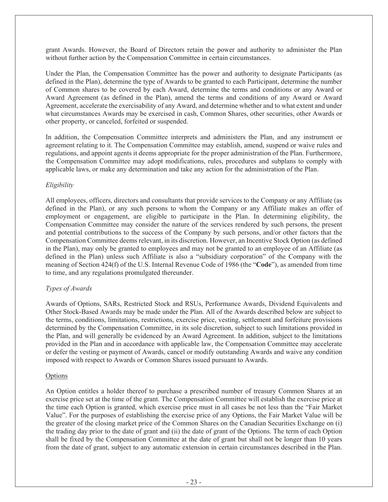grant Awards. However, the Board of Directors retain the power and authority to administer the Plan without further action by the Compensation Committee in certain circumstances.

Under the Plan, the Compensation Committee has the power and authority to designate Participants (as defined in the Plan), determine the type of Awards to be granted to each Participant, determine the number of Common shares to be covered by each Award, determine the terms and conditions or any Award or Award Agreement (as defined in the Plan), amend the terms and conditions of any Award or Award Agreement, accelerate the exercisability of any Award, and determine whether and to what extent and under what circumstances Awards may be exercised in cash, Common Shares, other securities, other Awards or other property, or canceled, forfeited or suspended.

In addition, the Compensation Committee interprets and administers the Plan, and any instrument or agreement relating to it. The Compensation Committee may establish, amend, suspend or waive rules and regulations, and appoint agents it deems appropriate for the proper administration of the Plan. Furthermore, the Compensation Committee may adopt modifications, rules, procedures and subplans to comply with applicable laws, or make any determination and take any action for the administration of the Plan.

# *Eligibility*

All employees, officers, directors and consultants that provide services to the Company or any Affiliate (as defined in the Plan), or any such persons to whom the Company or any Affiliate makes an offer of employment or engagement, are eligible to participate in the Plan. In determining eligibility, the Compensation Committee may consider the nature of the services rendered by such persons, the present and potential contributions to the success of the Company by such persons, and/or other factors that the Compensation Committee deems relevant, in its discretion. However, an Incentive Stock Option (as defined in the Plan), may only be granted to employees and may not be granted to an employee of an Affiliate (as defined in the Plan) unless such Affiliate is also a "subsidiary corporation" of the Company with the meaning of Section 424(f) of the U.S. Internal Revenue Code of 1986 (the "**Code**"), as amended from time to time, and any regulations promulgated thereunder.

### *Types of Awards*

Awards of Options, SARs, Restricted Stock and RSUs, Performance Awards, Dividend Equivalents and Other Stock-Based Awards may be made under the Plan. All of the Awards described below are subject to the terms, conditions, limitations, restrictions, exercise price, vesting, settlement and forfeiture provisions determined by the Compensation Committee, in its sole discretion, subject to such limitations provided in the Plan, and will generally be evidenced by an Award Agreement. In addition, subject to the limitations provided in the Plan and in accordance with applicable law, the Compensation Committee may accelerate or defer the vesting or payment of Awards, cancel or modify outstanding Awards and waive any condition imposed with respect to Awards or Common Shares issued pursuant to Awards.

### **Options**

An Option entitles a holder thereof to purchase a prescribed number of treasury Common Shares at an exercise price set at the time of the grant. The Compensation Committee will establish the exercise price at the time each Option is granted, which exercise price must in all cases be not less than the "Fair Market Value". For the purposes of establishing the exercise price of any Options, the Fair Market Value will be the greater of the closing market price of the Common Shares on the Canadian Securities Exchange on (i) the trading day prior to the date of grant and (ii) the date of grant of the Options. The term of each Option shall be fixed by the Compensation Committee at the date of grant but shall not be longer than 10 years from the date of grant, subject to any automatic extension in certain circumstances described in the Plan.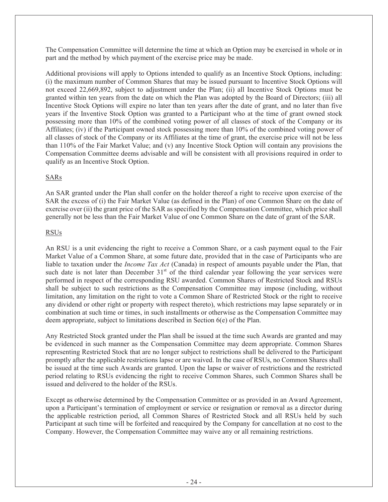The Compensation Committee will determine the time at which an Option may be exercised in whole or in part and the method by which payment of the exercise price may be made.

Additional provisions will apply to Options intended to qualify as an Incentive Stock Options, including: (i) the maximum number of Common Shares that may be issued pursuant to Incentive Stock Options will not exceed 22,669,892, subject to adjustment under the Plan; (ii) all Incentive Stock Options must be granted within ten years from the date on which the Plan was adopted by the Board of Directors; (iii) all Incentive Stock Options will expire no later than ten years after the date of grant, and no later than five years if the Inventive Stock Option was granted to a Participant who at the time of grant owned stock possessing more than 10% of the combined voting power of all classes of stock of the Company or its Affiliates; (iv) if the Participant owned stock possessing more than 10% of the combined voting power of all classes of stock of the Company or its Affiliates at the time of grant, the exercise price will not be less than 110% of the Fair Market Value; and (v) any Incentive Stock Option will contain any provisions the Compensation Committee deems advisable and will be consistent with all provisions required in order to qualify as an Incentive Stock Option.

# SARs

An SAR granted under the Plan shall confer on the holder thereof a right to receive upon exercise of the SAR the excess of (i) the Fair Market Value (as defined in the Plan) of one Common Share on the date of exercise over (ii) the grant price of the SAR as specified by the Compensation Committee, which price shall generally not be less than the Fair Market Value of one Common Share on the date of grant of the SAR.

# RSUs

An RSU is a unit evidencing the right to receive a Common Share, or a cash payment equal to the Fair Market Value of a Common Share, at some future date, provided that in the case of Participants who are liable to taxation under the *Income Tax Act* (Canada) in respect of amounts payable under the Plan, that such date is not later than December 31<sup>st</sup> of the third calendar year following the year services were performed in respect of the corresponding RSU awarded. Common Shares of Restricted Stock and RSUs shall be subject to such restrictions as the Compensation Committee may impose (including, without limitation, any limitation on the right to vote a Common Share of Restricted Stock or the right to receive any dividend or other right or property with respect thereto), which restrictions may lapse separately or in combination at such time or times, in such installments or otherwise as the Compensation Committee may deem appropriate, subject to limitations described in Section 6(e) of the Plan.

Any Restricted Stock granted under the Plan shall be issued at the time such Awards are granted and may be evidenced in such manner as the Compensation Committee may deem appropriate. Common Shares representing Restricted Stock that are no longer subject to restrictions shall be delivered to the Participant promptly after the applicable restrictions lapse or are waived. In the case of RSUs, no Common Shares shall be issued at the time such Awards are granted. Upon the lapse or waiver of restrictions and the restricted period relating to RSUs evidencing the right to receive Common Shares, such Common Shares shall be issued and delivered to the holder of the RSUs.

Except as otherwise determined by the Compensation Committee or as provided in an Award Agreement, upon a Participant's termination of employment or service or resignation or removal as a director during the applicable restriction period, all Common Shares of Restricted Stock and all RSUs held by such Participant at such time will be forfeited and reacquired by the Company for cancellation at no cost to the Company. However, the Compensation Committee may waive any or all remaining restrictions.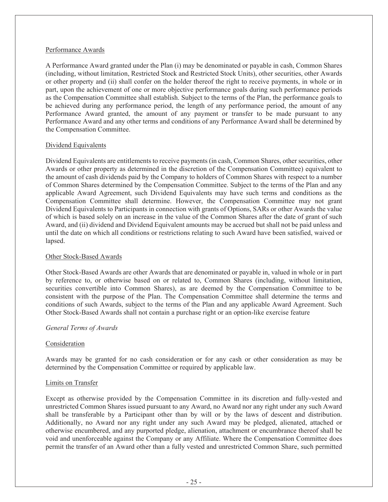#### Performance Awards

A Performance Award granted under the Plan (i) may be denominated or payable in cash, Common Shares (including, without limitation, Restricted Stock and Restricted Stock Units), other securities, other Awards or other property and (ii) shall confer on the holder thereof the right to receive payments, in whole or in part, upon the achievement of one or more objective performance goals during such performance periods as the Compensation Committee shall establish. Subject to the terms of the Plan, the performance goals to be achieved during any performance period, the length of any performance period, the amount of any Performance Award granted, the amount of any payment or transfer to be made pursuant to any Performance Award and any other terms and conditions of any Performance Award shall be determined by the Compensation Committee.

### Dividend Equivalents

Dividend Equivalents are entitlements to receive payments (in cash, Common Shares, other securities, other Awards or other property as determined in the discretion of the Compensation Committee) equivalent to the amount of cash dividends paid by the Company to holders of Common Shares with respect to a number of Common Shares determined by the Compensation Committee. Subject to the terms of the Plan and any applicable Award Agreement, such Dividend Equivalents may have such terms and conditions as the Compensation Committee shall determine. However, the Compensation Committee may not grant Dividend Equivalents to Participants in connection with grants of Options, SARs or other Awards the value of which is based solely on an increase in the value of the Common Shares after the date of grant of such Award, and (ii) dividend and Dividend Equivalent amounts may be accrued but shall not be paid unless and until the date on which all conditions or restrictions relating to such Award have been satisfied, waived or lapsed.

### Other Stock-Based Awards

Other Stock-Based Awards are other Awards that are denominated or payable in, valued in whole or in part by reference to, or otherwise based on or related to, Common Shares (including, without limitation, securities convertible into Common Shares), as are deemed by the Compensation Committee to be consistent with the purpose of the Plan. The Compensation Committee shall determine the terms and conditions of such Awards, subject to the terms of the Plan and any applicable Award Agreement. Such Other Stock-Based Awards shall not contain a purchase right or an option-like exercise feature

### *General Terms of Awards*

### Consideration

Awards may be granted for no cash consideration or for any cash or other consideration as may be determined by the Compensation Committee or required by applicable law.

### Limits on Transfer

Except as otherwise provided by the Compensation Committee in its discretion and fully-vested and unrestricted Common Shares issued pursuant to any Award, no Award nor any right under any such Award shall be transferable by a Participant other than by will or by the laws of descent and distribution. Additionally, no Award nor any right under any such Award may be pledged, alienated, attached or otherwise encumbered, and any purported pledge, alienation, attachment or encumbrance thereof shall be void and unenforceable against the Company or any Affiliate. Where the Compensation Committee does permit the transfer of an Award other than a fully vested and unrestricted Common Share, such permitted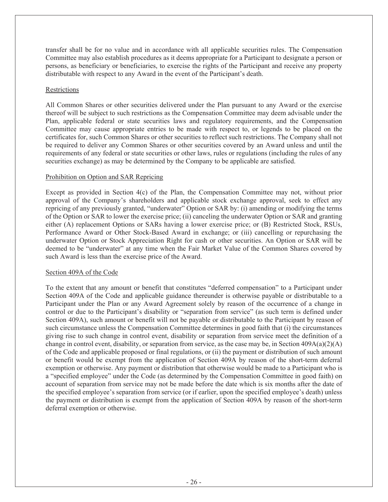transfer shall be for no value and in accordance with all applicable securities rules. The Compensation Committee may also establish procedures as it deems appropriate for a Participant to designate a person or persons, as beneficiary or beneficiaries, to exercise the rights of the Participant and receive any property distributable with respect to any Award in the event of the Participant's death.

# **Restrictions**

All Common Shares or other securities delivered under the Plan pursuant to any Award or the exercise thereof will be subject to such restrictions as the Compensation Committee may deem advisable under the Plan, applicable federal or state securities laws and regulatory requirements, and the Compensation Committee may cause appropriate entries to be made with respect to, or legends to be placed on the certificates for, such Common Shares or other securities to reflect such restrictions. The Company shall not be required to deliver any Common Shares or other securities covered by an Award unless and until the requirements of any federal or state securities or other laws, rules or regulations (including the rules of any securities exchange) as may be determined by the Company to be applicable are satisfied.

# Prohibition on Option and SAR Repricing

Except as provided in Section 4(c) of the Plan, the Compensation Committee may not, without prior approval of the Company's shareholders and applicable stock exchange approval, seek to effect any repricing of any previously granted, "underwater" Option or SAR by: (i) amending or modifying the terms of the Option or SAR to lower the exercise price; (ii) canceling the underwater Option or SAR and granting either (A) replacement Options or SARs having a lower exercise price; or (B) Restricted Stock, RSUs, Performance Award or Other Stock-Based Award in exchange; or (iii) cancelling or repurchasing the underwater Option or Stock Appreciation Right for cash or other securities. An Option or SAR will be deemed to be "underwater" at any time when the Fair Market Value of the Common Shares covered by such Award is less than the exercise price of the Award.

### Section 409A of the Code

To the extent that any amount or benefit that constitutes "deferred compensation" to a Participant under Section 409A of the Code and applicable guidance thereunder is otherwise payable or distributable to a Participant under the Plan or any Award Agreement solely by reason of the occurrence of a change in control or due to the Participant's disability or "separation from service" (as such term is defined under Section 409A), such amount or benefit will not be payable or distributable to the Participant by reason of such circumstance unless the Compensation Committee determines in good faith that (i) the circumstances giving rise to such change in control event, disability or separation from service meet the definition of a change in control event, disability, or separation from service, as the case may be, in Section  $409A(a)(2)(A)$ of the Code and applicable proposed or final regulations, or (ii) the payment or distribution of such amount or benefit would be exempt from the application of Section 409A by reason of the short-term deferral exemption or otherwise. Any payment or distribution that otherwise would be made to a Participant who is a "specified employee" under the Code (as determined by the Compensation Committee in good faith) on account of separation from service may not be made before the date which is six months after the date of the specified employee's separation from service (or if earlier, upon the specified employee's death) unless the payment or distribution is exempt from the application of Section 409A by reason of the short-term deferral exemption or otherwise.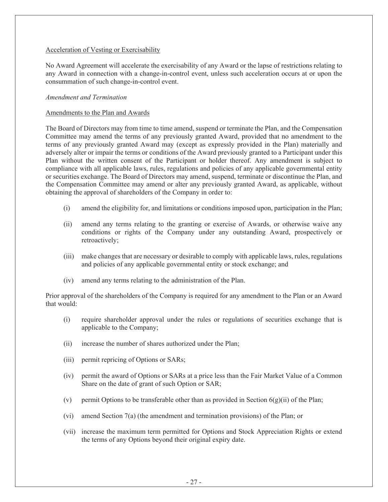### Acceleration of Vesting or Exercisability

No Award Agreement will accelerate the exercisability of any Award or the lapse of restrictions relating to any Award in connection with a change-in-control event, unless such acceleration occurs at or upon the consummation of such change-in-control event.

#### *Amendment and Termination*

#### Amendments to the Plan and Awards

The Board of Directors may from time to time amend, suspend or terminate the Plan, and the Compensation Committee may amend the terms of any previously granted Award, provided that no amendment to the terms of any previously granted Award may (except as expressly provided in the Plan) materially and adversely alter or impair the terms or conditions of the Award previously granted to a Participant under this Plan without the written consent of the Participant or holder thereof. Any amendment is subject to compliance with all applicable laws, rules, regulations and policies of any applicable governmental entity or securities exchange. The Board of Directors may amend, suspend, terminate or discontinue the Plan, and the Compensation Committee may amend or alter any previously granted Award, as applicable, without obtaining the approval of shareholders of the Company in order to:

- (i) amend the eligibility for, and limitations or conditions imposed upon, participation in the Plan;
- (ii) amend any terms relating to the granting or exercise of Awards, or otherwise waive any conditions or rights of the Company under any outstanding Award, prospectively or retroactively;
- (iii) make changes that are necessary or desirable to comply with applicable laws, rules, regulations and policies of any applicable governmental entity or stock exchange; and
- (iv) amend any terms relating to the administration of the Plan.

Prior approval of the shareholders of the Company is required for any amendment to the Plan or an Award that would:

- (i) require shareholder approval under the rules or regulations of securities exchange that is applicable to the Company;
- (ii) increase the number of shares authorized under the Plan;
- (iii) permit repricing of Options or SARs;
- (iv) permit the award of Options or SARs at a price less than the Fair Market Value of a Common Share on the date of grant of such Option or SAR;
- (v) permit Options to be transferable other than as provided in Section  $6(g)(ii)$  of the Plan;
- (vi) amend Section 7(a) (the amendment and termination provisions) of the Plan; or
- (vii) increase the maximum term permitted for Options and Stock Appreciation Rights or extend the terms of any Options beyond their original expiry date.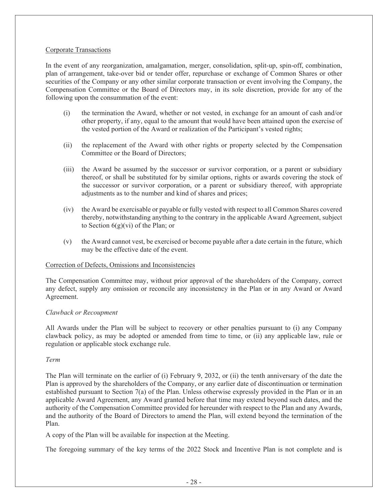### Corporate Transactions

In the event of any reorganization, amalgamation, merger, consolidation, split-up, spin-off, combination, plan of arrangement, take-over bid or tender offer, repurchase or exchange of Common Shares or other securities of the Company or any other similar corporate transaction or event involving the Company, the Compensation Committee or the Board of Directors may, in its sole discretion, provide for any of the following upon the consummation of the event:

- (i) the termination the Award, whether or not vested, in exchange for an amount of cash and/or other property, if any, equal to the amount that would have been attained upon the exercise of the vested portion of the Award or realization of the Participant's vested rights;
- (ii) the replacement of the Award with other rights or property selected by the Compensation Committee or the Board of Directors;
- (iii) the Award be assumed by the successor or survivor corporation, or a parent or subsidiary thereof, or shall be substituted for by similar options, rights or awards covering the stock of the successor or survivor corporation, or a parent or subsidiary thereof, with appropriate adjustments as to the number and kind of shares and prices;
- (iv) the Award be exercisable or payable or fully vested with respect to all Common Shares covered thereby, notwithstanding anything to the contrary in the applicable Award Agreement, subject to Section  $6(g)(vi)$  of the Plan; or
- (v) the Award cannot vest, be exercised or become payable after a date certain in the future, which may be the effective date of the event.

# Correction of Defects, Omissions and Inconsistencies

The Compensation Committee may, without prior approval of the shareholders of the Company, correct any defect, supply any omission or reconcile any inconsistency in the Plan or in any Award or Award Agreement.

### *Clawback or Recoupment*

All Awards under the Plan will be subject to recovery or other penalties pursuant to (i) any Company clawback policy, as may be adopted or amended from time to time, or (ii) any applicable law, rule or regulation or applicable stock exchange rule.

#### *Term*

The Plan will terminate on the earlier of (i) February 9, 2032, or (ii) the tenth anniversary of the date the Plan is approved by the shareholders of the Company, or any earlier date of discontinuation or termination established pursuant to Section 7(a) of the Plan. Unless otherwise expressly provided in the Plan or in an applicable Award Agreement, any Award granted before that time may extend beyond such dates, and the authority of the Compensation Committee provided for hereunder with respect to the Plan and any Awards, and the authority of the Board of Directors to amend the Plan, will extend beyond the termination of the Plan.

A copy of the Plan will be available for inspection at the Meeting.

The foregoing summary of the key terms of the 2022 Stock and Incentive Plan is not complete and is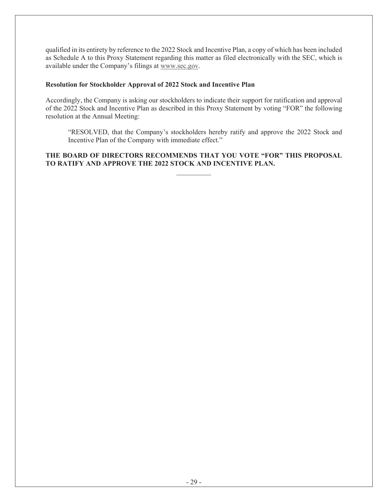qualified in its entirety by reference to the 2022 Stock and Incentive Plan, a copy of which has been included as Schedule A to this Proxy Statement regarding this matter as filed electronically with the SEC, which is available under the Company's filings at www.sec.gov.

# **Resolution for Stockholder Approval of 2022 Stock and Incentive Plan**

Accordingly, the Company is asking our stockholders to indicate their support for ratification and approval of the 2022 Stock and Incentive Plan as described in this Proxy Statement by voting "FOR" the following resolution at the Annual Meeting:

"RESOLVED, that the Company's stockholders hereby ratify and approve the 2022 Stock and Incentive Plan of the Company with immediate effect."

# **THE BOARD OF DIRECTORS RECOMMENDS THAT YOU VOTE "FOR" THIS PROPOSAL TO RATIFY AND APPROVE THE 2022 STOCK AND INCENTIVE PLAN.**   $\mathcal{L}_\text{max}$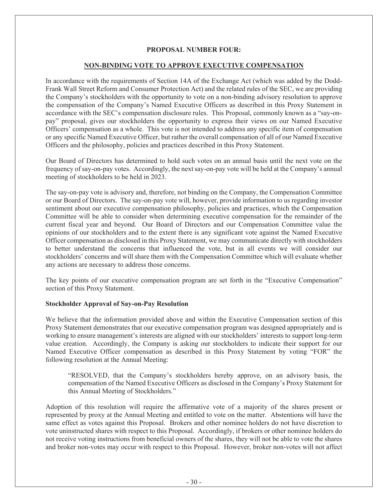# **PROPOSAL NUMBER FOUR:**

# **NON-BINDING VOTE TO APPROVE EXECUTIVE COMPENSATION**

In accordance with the requirements of Section 14A of the Exchange Act (which was added by the Dodd-Frank Wall Street Reform and Consumer Protection Act) and the related rules of the SEC, we are providing the Company's stockholders with the opportunity to vote on a non-binding advisory resolution to approve the compensation of the Company's Named Executive Officers as described in this Proxy Statement in accordance with the SEC's compensation disclosure rules. This Proposal, commonly known as a "say-onpay" proposal, gives our stockholders the opportunity to express their views on our Named Executive Officers' compensation as a whole. This vote is not intended to address any specific item of compensation or any specific Named Executive Officer, but rather the overall compensation of all of our Named Executive Officers and the philosophy, policies and practices described in this Proxy Statement.

Our Board of Directors has determined to hold such votes on an annual basis until the next vote on the frequency of say-on-pay votes. Accordingly, the next say-on-pay vote will be held at the Company's annual meeting of stockholders to be held in 2023.

The say-on-pay vote is advisory and, therefore, not binding on the Company, the Compensation Committee or our Board of Directors. The say-on-pay vote will, however, provide information to us regarding investor sentiment about our executive compensation philosophy, policies and practices, which the Compensation Committee will be able to consider when determining executive compensation for the remainder of the current fiscal year and beyond. Our Board of Directors and our Compensation Committee value the opinions of our stockholders and to the extent there is any significant vote against the Named Executive Officer compensation as disclosed in this Proxy Statement, we may communicate directly with stockholders to better understand the concerns that influenced the vote, but in all events we will consider our stockholders' concerns and will share them with the Compensation Committee which will evaluate whether any actions are necessary to address those concerns.

The key points of our executive compensation program are set forth in the "Executive Compensation" section of this Proxy Statement.

### **Stockholder Approval of Say-on-Pay Resolution**

We believe that the information provided above and within the Executive Compensation section of this Proxy Statement demonstrates that our executive compensation program was designed appropriately and is working to ensure management's interests are aligned with our stockholders' interests to support long-term value creation. Accordingly, the Company is asking our stockholders to indicate their support for our Named Executive Officer compensation as described in this Proxy Statement by voting "FOR" the following resolution at the Annual Meeting:

"RESOLVED, that the Company's stockholders hereby approve, on an advisory basis, the compensation of the Named Executive Officers as disclosed in the Company's Proxy Statement for this Annual Meeting of Stockholders."

Adoption of this resolution will require the affirmative vote of a majority of the shares present or represented by proxy at the Annual Meeting and entitled to vote on the matter. Abstentions will have the same effect as votes against this Proposal. Brokers and other nominee holders do not have discretion to vote uninstructed shares with respect to this Proposal. Accordingly, if brokers or other nominee holders do not receive voting instructions from beneficial owners of the shares, they will not be able to vote the shares and broker non-votes may occur with respect to this Proposal. However, broker non-votes will not affect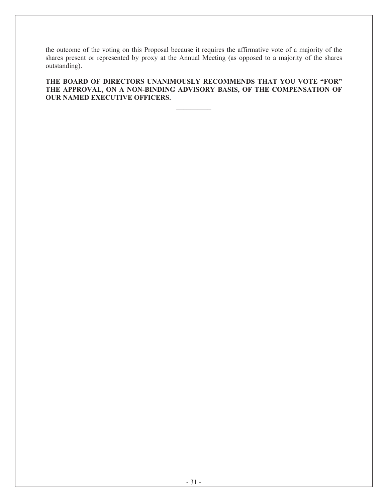the outcome of the voting on this Proposal because it requires the affirmative vote of a majority of the shares present or represented by proxy at the Annual Meeting (as opposed to a majority of the shares outstanding).

**THE BOARD OF DIRECTORS UNANIMOUSLY RECOMMENDS THAT YOU VOTE "FOR" THE APPROVAL, ON A NON-BINDING ADVISORY BASIS, OF THE COMPENSATION OF OUR NAMED EXECUTIVE OFFICERS.** 

 $\mathcal{L}_\text{max}$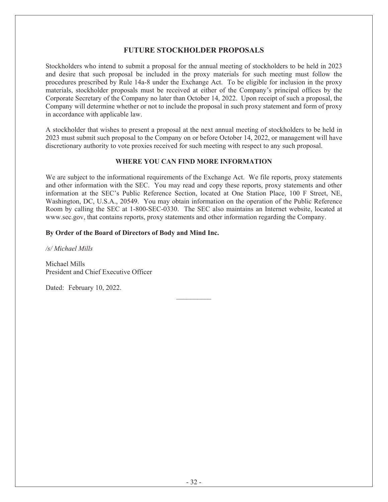# **FUTURE STOCKHOLDER PROPOSALS**

Stockholders who intend to submit a proposal for the annual meeting of stockholders to be held in 2023 and desire that such proposal be included in the proxy materials for such meeting must follow the procedures prescribed by Rule 14a-8 under the Exchange Act. To be eligible for inclusion in the proxy materials, stockholder proposals must be received at either of the Company's principal offices by the Corporate Secretary of the Company no later than October 14, 2022. Upon receipt of such a proposal, the Company will determine whether or not to include the proposal in such proxy statement and form of proxy in accordance with applicable law.

A stockholder that wishes to present a proposal at the next annual meeting of stockholders to be held in 2023 must submit such proposal to the Company on or before October 14, 2022, or management will have discretionary authority to vote proxies received for such meeting with respect to any such proposal.

# **WHERE YOU CAN FIND MORE INFORMATION**

We are subject to the informational requirements of the Exchange Act. We file reports, proxy statements and other information with the SEC. You may read and copy these reports, proxy statements and other information at the SEC's Public Reference Section, located at One Station Place, 100 F Street, NE, Washington, DC, U.S.A., 20549. You may obtain information on the operation of the Public Reference Room by calling the SEC at 1-800-SEC-0330. The SEC also maintains an Internet website, located at www.sec.gov, that contains reports, proxy statements and other information regarding the Company.

 $\mathcal{L}_\text{max}$ 

# **By Order of the Board of Directors of Body and Mind Inc.**

*/s/ Michael Mills* 

Michael Mills President and Chief Executive Officer

Dated: February 10, 2022.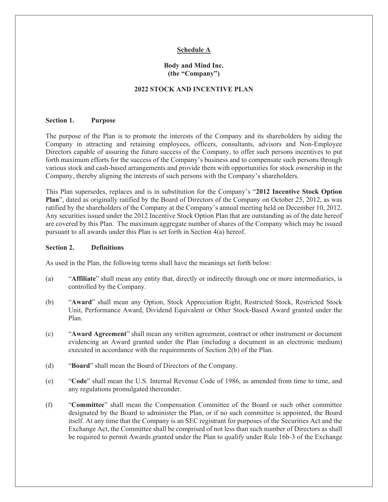# **Schedule A**

### **Body and Mind Inc. (the "Company")**

# **2022 STOCK AND INCENTIVE PLAN**

#### **Section 1. Purpose**

The purpose of the Plan is to promote the interests of the Company and its shareholders by aiding the Company in attracting and retaining employees, officers, consultants, advisors and Non-Employee Directors capable of assuring the future success of the Company, to offer such persons incentives to put forth maximum efforts for the success of the Company's business and to compensate such persons through various stock and cash-based arrangements and provide them with opportunities for stock ownership in the Company, thereby aligning the interests of such persons with the Company's shareholders.

This Plan supersedes, replaces and is in substitution for the Company's "**2012 Incentive Stock Option Plan**", dated as originally ratified by the Board of Directors of the Company on October 25, 2012, as was ratified by the shareholders of the Company at the Company's annual meeting held on December 10, 2012. Any securities issued under the 2012 Incentive Stock Option Plan that are outstanding as of the date hereof are covered by this Plan. The maximum aggregate number of shares of the Company which may be issued pursuant to all awards under this Plan is set forth in Section 4(a) hereof.

#### **Section 2. Definitions**

As used in the Plan, the following terms shall have the meanings set forth below:

- (a) "**Affiliate**" shall mean any entity that, directly or indirectly through one or more intermediaries, is controlled by the Company.
- (b) "**Award**" shall mean any Option, Stock Appreciation Right, Restricted Stock, Restricted Stock Unit, Performance Award, Dividend Equivalent or Other Stock-Based Award granted under the Plan.
- (c) "**Award Agreement**" shall mean any written agreement, contract or other instrument or document evidencing an Award granted under the Plan (including a document in an electronic medium) executed in accordance with the requirements of Section 2(b) of the Plan.
- (d) "**Board**" shall mean the Board of Directors of the Company.
- (e) "**Code**" shall mean the U.S. Internal Revenue Code of 1986, as amended from time to time, and any regulations promulgated thereunder.
- (f) "**Committee**" shall mean the Compensation Committee of the Board or such other committee designated by the Board to administer the Plan, or if no such committee is appointed, the Board itself. At any time that the Company is an SEC registrant for purposes of the Securities Act and the Exchange Act, the Committee shall be comprised of not less than such number of Directors as shall be required to permit Awards granted under the Plan to qualify under Rule 16b-3 of the Exchange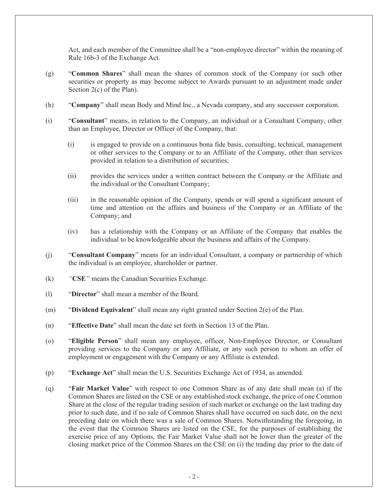Act, and each member of the Committee shall be a "non-employee director" within the meaning of Rule 16b-3 of the Exchange Act.

- (g) "**Common Shares**" shall mean the shares of common stock of the Company (or such other securities or property as may become subject to Awards pursuant to an adjustment made under Section 2(c) of the Plan).
- (h) "**Company**" shall mean Body and Mind Inc., a Nevada company, and any successor corporation.
- (i) "**Consultant**" means, in relation to the Company, an individual or a Consultant Company, other than an Employee, Director or Officer of the Company, that:
	- (i) is engaged to provide on a continuous bona fide basis, consulting, technical, management or other services to the Company or to an Affiliate of the Company, other than services provided in relation to a distribution of securities;
	- (ii) provides the services under a written contract between the Company or the Affiliate and the individual or the Consultant Company;
	- (iii) in the reasonable opinion of the Company, spends or will spend a significant amount of time and attention on the affairs and business of the Company or an Affiliate of the Company; and
	- (iv) has a relationship with the Company or an Affiliate of the Company that enables the individual to be knowledgeable about the business and affairs of the Company.
- (j) "**Consultant Company**" means for an individual Consultant, a company or partnership of which the individual is an employee, shareholder or partner.
- (k) *"***CSE***"* means the Canadian Securities Exchange.
- (l) "**Director**" shall mean a member of the Board.
- (m) "**Dividend Equivalent**" shall mean any right granted under Section 2(e) of the Plan.
- (n) "**Effective Date**" shall mean the date set forth in Section 13 of the Plan.
- (o) "**Eligible Person**" shall mean any employee, officer, Non-Employee Director, or Consultant providing services to the Company or any Affiliate, or any such person to whom an offer of employment or engagement with the Company or any Affiliate is extended.
- (p) "**Exchange Act**" shall mean the U.S. Securities Exchange Act of 1934, as amended.
- (q) "**Fair Market Value**" with respect to one Common Share as of any date shall mean (a) if the Common Shares are listed on the CSE or any established stock exchange, the price of one Common Share at the close of the regular trading session of such market or exchange on the last trading day prior to such date, and if no sale of Common Shares shall have occurred on such date, on the next preceding date on which there was a sale of Common Shares. Notwithstanding the foregoing, in the event that the Common Shares are listed on the CSE, for the purposes of establishing the exercise price of any Options, the Fair Market Value shall not be lower than the greater of the closing market price of the Common Shares on the CSE on (i) the trading day prior to the date of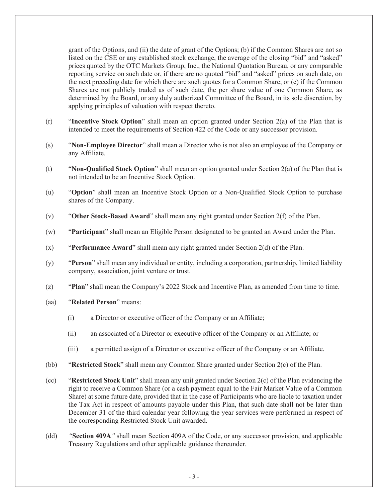grant of the Options, and (ii) the date of grant of the Options; (b) if the Common Shares are not so listed on the CSE or any established stock exchange, the average of the closing "bid" and "asked" prices quoted by the OTC Markets Group, Inc., the National Quotation Bureau, or any comparable reporting service on such date or, if there are no quoted "bid" and "asked" prices on such date, on the next preceding date for which there are such quotes for a Common Share; or (c) if the Common Shares are not publicly traded as of such date, the per share value of one Common Share, as determined by the Board, or any duly authorized Committee of the Board, in its sole discretion, by applying principles of valuation with respect thereto.

- (r) "**Incentive Stock Option**" shall mean an option granted under Section 2(a) of the Plan that is intended to meet the requirements of Section 422 of the Code or any successor provision.
- (s) "**Non-Employee Director**" shall mean a Director who is not also an employee of the Company or any Affiliate.
- (t) "**Non-Qualified Stock Option**" shall mean an option granted under Section 2(a) of the Plan that is not intended to be an Incentive Stock Option.
- (u) "**Option**" shall mean an Incentive Stock Option or a Non-Qualified Stock Option to purchase shares of the Company.
- (v) "**Other Stock-Based Award**" shall mean any right granted under Section 2(f) of the Plan.
- (w) "**Participant**" shall mean an Eligible Person designated to be granted an Award under the Plan.
- (x) "**Performance Award**" shall mean any right granted under Section 2(d) of the Plan.
- (y) "**Person**" shall mean any individual or entity, including a corporation, partnership, limited liability company, association, joint venture or trust.
- (z) "**Plan**" shall mean the Company's 2022 Stock and Incentive Plan, as amended from time to time.
- (aa) "**Related Person**" means:
	- (i) a Director or executive officer of the Company or an Affiliate;
	- (ii) an associated of a Director or executive officer of the Company or an Affiliate; or
	- (iii) a permitted assign of a Director or executive officer of the Company or an Affiliate.
- (bb) "**Restricted Stock**" shall mean any Common Share granted under Section 2(c) of the Plan.
- (cc) "**Restricted Stock Unit**" shall mean any unit granted under Section 2(c) of the Plan evidencing the right to receive a Common Share (or a cash payment equal to the Fair Market Value of a Common Share) at some future date, provided that in the case of Participants who are liable to taxation under the Tax Act in respect of amounts payable under this Plan, that such date shall not be later than December 31 of the third calendar year following the year services were performed in respect of the corresponding Restricted Stock Unit awarded.
- (dd) *"***Section 409A***"* shall mean Section 409A of the Code, or any successor provision, and applicable Treasury Regulations and other applicable guidance thereunder.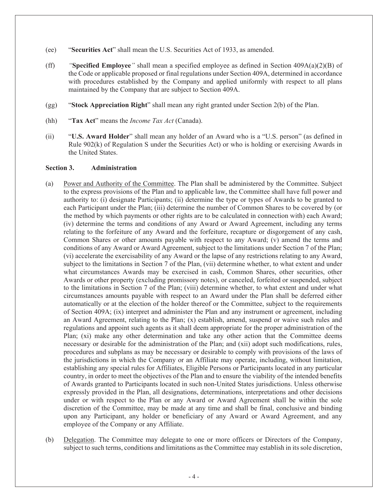- (ee) "**Securities Act**" shall mean the U.S. Securities Act of 1933, as amended.
- (ff) *"***Specified Employee***"* shall mean a specified employee as defined in Section 409A(a)(2)(B) of the Code or applicable proposed or final regulations under Section 409A, determined in accordance with procedures established by the Company and applied uniformly with respect to all plans maintained by the Company that are subject to Section 409A.
- (gg) "**Stock Appreciation Right**" shall mean any right granted under Section 2(b) of the Plan.
- (hh) "**Tax Act**" means the *Income Tax Act* (Canada).
- (ii) "**U.S. Award Holder**" shall mean any holder of an Award who is a "U.S. person" (as defined in Rule 902(k) of Regulation S under the Securities Act) or who is holding or exercising Awards in the United States.

#### **Section 3. Administration**

- (a) Power and Authority of the Committee. The Plan shall be administered by the Committee. Subject to the express provisions of the Plan and to applicable law, the Committee shall have full power and authority to: (i) designate Participants; (ii) determine the type or types of Awards to be granted to each Participant under the Plan; (iii) determine the number of Common Shares to be covered by (or the method by which payments or other rights are to be calculated in connection with) each Award; (iv) determine the terms and conditions of any Award or Award Agreement, including any terms relating to the forfeiture of any Award and the forfeiture, recapture or disgorgement of any cash, Common Shares or other amounts payable with respect to any Award; (v) amend the terms and conditions of any Award or Award Agreement, subject to the limitations under Section 7 of the Plan; (vi) accelerate the exercisability of any Award or the lapse of any restrictions relating to any Award, subject to the limitations in Section 7 of the Plan, (vii) determine whether, to what extent and under what circumstances Awards may be exercised in cash, Common Shares, other securities, other Awards or other property (excluding promissory notes), or canceled, forfeited or suspended, subject to the limitations in Section 7 of the Plan; (viii) determine whether, to what extent and under what circumstances amounts payable with respect to an Award under the Plan shall be deferred either automatically or at the election of the holder thereof or the Committee, subject to the requirements of Section 409A; (ix) interpret and administer the Plan and any instrument or agreement, including an Award Agreement, relating to the Plan; (x) establish, amend, suspend or waive such rules and regulations and appoint such agents as it shall deem appropriate for the proper administration of the Plan; (xi) make any other determination and take any other action that the Committee deems necessary or desirable for the administration of the Plan; and (xii) adopt such modifications, rules, procedures and subplans as may be necessary or desirable to comply with provisions of the laws of the jurisdictions in which the Company or an Affiliate may operate, including, without limitation, establishing any special rules for Affiliates, Eligible Persons or Participants located in any particular country, in order to meet the objectives of the Plan and to ensure the viability of the intended benefits of Awards granted to Participants located in such non-United States jurisdictions. Unless otherwise expressly provided in the Plan, all designations, determinations, interpretations and other decisions under or with respect to the Plan or any Award or Award Agreement shall be within the sole discretion of the Committee, may be made at any time and shall be final, conclusive and binding upon any Participant, any holder or beneficiary of any Award or Award Agreement, and any employee of the Company or any Affiliate.
- (b) Delegation. The Committee may delegate to one or more officers or Directors of the Company, subject to such terms, conditions and limitations as the Committee may establish in its sole discretion,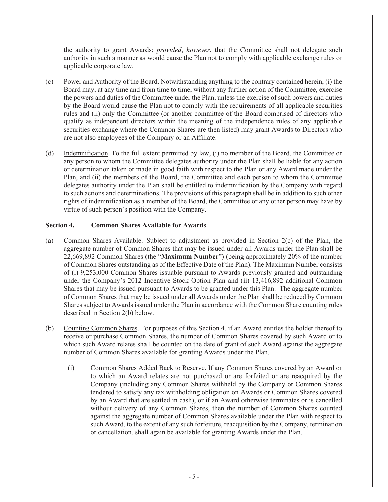the authority to grant Awards; *provided*, *however*, that the Committee shall not delegate such authority in such a manner as would cause the Plan not to comply with applicable exchange rules or applicable corporate law.

- (c) Power and Authority of the Board. Notwithstanding anything to the contrary contained herein, (i) the Board may, at any time and from time to time, without any further action of the Committee, exercise the powers and duties of the Committee under the Plan, unless the exercise of such powers and duties by the Board would cause the Plan not to comply with the requirements of all applicable securities rules and (ii) only the Committee (or another committee of the Board comprised of directors who qualify as independent directors within the meaning of the independence rules of any applicable securities exchange where the Common Shares are then listed) may grant Awards to Directors who are not also employees of the Company or an Affiliate.
- (d) Indemnification. To the full extent permitted by law, (i) no member of the Board, the Committee or any person to whom the Committee delegates authority under the Plan shall be liable for any action or determination taken or made in good faith with respect to the Plan or any Award made under the Plan, and (ii) the members of the Board, the Committee and each person to whom the Committee delegates authority under the Plan shall be entitled to indemnification by the Company with regard to such actions and determinations. The provisions of this paragraph shall be in addition to such other rights of indemnification as a member of the Board, the Committee or any other person may have by virtue of such person's position with the Company.

# **Section 4. Common Shares Available for Awards**

- (a) Common Shares Available. Subject to adjustment as provided in Section 2(c) of the Plan, the aggregate number of Common Shares that may be issued under all Awards under the Plan shall be 22,669,892 Common Shares (the "**Maximum Number**") (being approximately 20% of the number of Common Shares outstanding as of the Effective Date of the Plan). The Maximum Number consists of (i) 9,253,000 Common Shares issuable pursuant to Awards previously granted and outstanding under the Company's 2012 Incentive Stock Option Plan and (ii) 13,416,892 additional Common Shares that may be issued pursuant to Awards to be granted under this Plan. The aggregate number of Common Shares that may be issued under all Awards under the Plan shall be reduced by Common Shares subject to Awards issued under the Plan in accordance with the Common Share counting rules described in Section 2(b) below.
- (b) Counting Common Shares. For purposes of this Section 4, if an Award entitles the holder thereof to receive or purchase Common Shares, the number of Common Shares covered by such Award or to which such Award relates shall be counted on the date of grant of such Award against the aggregate number of Common Shares available for granting Awards under the Plan.
	- (i) Common Shares Added Back to Reserve. If any Common Shares covered by an Award or to which an Award relates are not purchased or are forfeited or are reacquired by the Company (including any Common Shares withheld by the Company or Common Shares tendered to satisfy any tax withholding obligation on Awards or Common Shares covered by an Award that are settled in cash), or if an Award otherwise terminates or is cancelled without delivery of any Common Shares, then the number of Common Shares counted against the aggregate number of Common Shares available under the Plan with respect to such Award, to the extent of any such forfeiture, reacquisition by the Company, termination or cancellation, shall again be available for granting Awards under the Plan.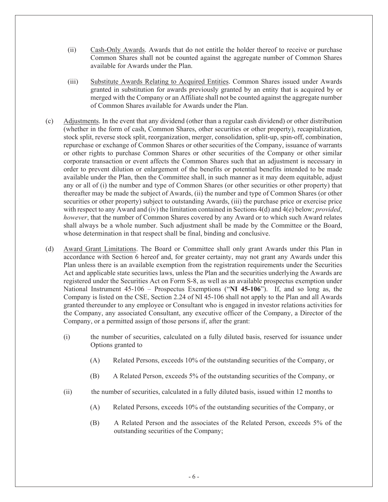- (ii) Cash-Only Awards. Awards that do not entitle the holder thereof to receive or purchase Common Shares shall not be counted against the aggregate number of Common Shares available for Awards under the Plan.
- (iii) Substitute Awards Relating to Acquired Entities. Common Shares issued under Awards granted in substitution for awards previously granted by an entity that is acquired by or merged with the Company or an Affiliate shall not be counted against the aggregate number of Common Shares available for Awards under the Plan.
- (c) Adjustments. In the event that any dividend (other than a regular cash dividend) or other distribution (whether in the form of cash, Common Shares, other securities or other property), recapitalization, stock split, reverse stock split, reorganization, merger, consolidation, split-up, spin-off, combination, repurchase or exchange of Common Shares or other securities of the Company, issuance of warrants or other rights to purchase Common Shares or other securities of the Company or other similar corporate transaction or event affects the Common Shares such that an adjustment is necessary in order to prevent dilution or enlargement of the benefits or potential benefits intended to be made available under the Plan, then the Committee shall, in such manner as it may deem equitable, adjust any or all of (i) the number and type of Common Shares (or other securities or other property) that thereafter may be made the subject of Awards, (ii) the number and type of Common Shares (or other securities or other property) subject to outstanding Awards, (iii) the purchase price or exercise price with respect to any Award and (iv) the limitation contained in Sections 4(d) and 4(e) below; *provided*, *however*, that the number of Common Shares covered by any Award or to which such Award relates shall always be a whole number. Such adjustment shall be made by the Committee or the Board, whose determination in that respect shall be final, binding and conclusive.
- (d) Award Grant Limitations. The Board or Committee shall only grant Awards under this Plan in accordance with Section 6 hereof and, for greater certainty, may not grant any Awards under this Plan unless there is an available exemption from the registration requirements under the Securities Act and applicable state securities laws, unless the Plan and the securities underlying the Awards are registered under the Securities Act on Form S-8, as well as an available prospectus exemption under National Instrument 45-106 – Prospectus Exemptions ("**NI 45-106**"). If, and so long as, the Company is listed on the CSE, Section 2.24 of NI 45-106 shall not apply to the Plan and all Awards granted thereunder to any employee or Consultant who is engaged in investor relations activities for the Company, any associated Consultant, any executive officer of the Company, a Director of the Company, or a permitted assign of those persons if, after the grant:
	- (i) the number of securities, calculated on a fully diluted basis, reserved for issuance under Options granted to
		- (A) Related Persons, exceeds 10% of the outstanding securities of the Company, or
		- (B) A Related Person, exceeds 5% of the outstanding securities of the Company, or
	- (ii) the number of securities, calculated in a fully diluted basis, issued within 12 months to
		- (A) Related Persons, exceeds 10% of the outstanding securities of the Company, or
		- (B) A Related Person and the associates of the Related Person, exceeds 5% of the outstanding securities of the Company;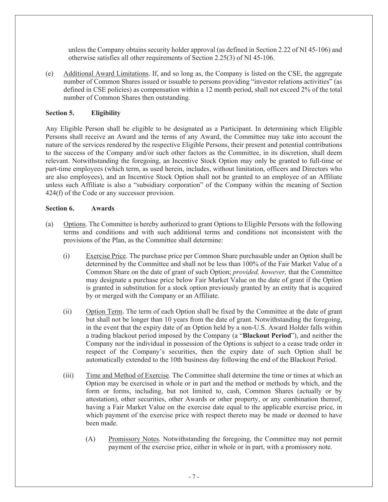unless the Company obtains security holder approval (as defined in Section 2.22 of NI 45-106) and otherwise satisfies all other requirements of Section 2.25(3) of NI 45-106.

(e) Additional Award Limitations. If, and so long as, the Company is listed on the CSE, the aggregate number of Common Shares issued or issuable to persons providing "investor relations activities" (as defined in CSE policies) as compensation within a 12 month period, shall not exceed 2% of the total number of Common Shares then outstanding.

# **Section 5. Eligibility**

Any Eligible Person shall be eligible to be designated as a Participant. In determining which Eligible Persons shall receive an Award and the terms of any Award, the Committee may take into account the nature of the services rendered by the respective Eligible Persons, their present and potential contributions to the success of the Company and/or such other factors as the Committee, in its discretion, shall deem relevant. Notwithstanding the foregoing, an Incentive Stock Option may only be granted to full-time or part-time employees (which term, as used herein, includes, without limitation, officers and Directors who are also employees), and an Incentive Stock Option shall not be granted to an employee of an Affiliate unless such Affiliate is also a "subsidiary corporation" of the Company within the meaning of Section 424(f) of the Code or any successor provision.

# **Section 6. Awards**

- (a) Options. The Committee is hereby authorized to grant Options to Eligible Persons with the following terms and conditions and with such additional terms and conditions not inconsistent with the provisions of the Plan, as the Committee shall determine:
	- (i) Exercise Price. The purchase price per Common Share purchasable under an Option shall be determined by the Committee and shall not be less than 100% of the Fair Market Value of a Common Share on the date of grant of such Option; *provided, however,* that the Committee may designate a purchase price below Fair Market Value on the date of grant if the Option is granted in substitution for a stock option previously granted by an entity that is acquired by or merged with the Company or an Affiliate.
	- (ii) Option Term. The term of each Option shall be fixed by the Committee at the date of grant but shall not be longer than 10 years from the date of grant. Notwithstanding the foregoing, in the event that the expiry date of an Option held by a non-U.S. Award Holder falls within a trading blackout period imposed by the Company (a "**Blackout Period**"), and neither the Company nor the individual in possession of the Options is subject to a cease trade order in respect of the Company's securities, then the expiry date of such Option shall be automatically extended to the 10th business day following the end of the Blackout Period.
	- (iii) Time and Method of Exercise. The Committee shall determine the time or times at which an Option may be exercised in whole or in part and the method or methods by which, and the form or forms, including, but not limited to, cash, Common Shares (actually or by attestation), other securities, other Awards or other property, or any combination thereof, having a Fair Market Value on the exercise date equal to the applicable exercise price, in which payment of the exercise price with respect thereto may be made or deemed to have been made.
		- (A) Promissory Notes. Notwithstanding the foregoing, the Committee may not permit payment of the exercise price, either in whole or in part, with a promissory note.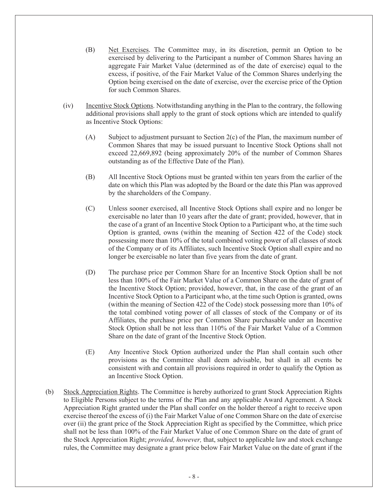- (B) Net Exercises. The Committee may, in its discretion, permit an Option to be exercised by delivering to the Participant a number of Common Shares having an aggregate Fair Market Value (determined as of the date of exercise) equal to the excess, if positive, of the Fair Market Value of the Common Shares underlying the Option being exercised on the date of exercise, over the exercise price of the Option for such Common Shares.
- (iv) Incentive Stock Options. Notwithstanding anything in the Plan to the contrary, the following additional provisions shall apply to the grant of stock options which are intended to qualify as Incentive Stock Options:
	- (A) Subject to adjustment pursuant to Section 2(c) of the Plan, the maximum number of Common Shares that may be issued pursuant to Incentive Stock Options shall not exceed 22,669,892 (being approximately 20% of the number of Common Shares outstanding as of the Effective Date of the Plan).
	- (B) All Incentive Stock Options must be granted within ten years from the earlier of the date on which this Plan was adopted by the Board or the date this Plan was approved by the shareholders of the Company.
	- (C) Unless sooner exercised, all Incentive Stock Options shall expire and no longer be exercisable no later than 10 years after the date of grant; provided, however, that in the case of a grant of an Incentive Stock Option to a Participant who, at the time such Option is granted, owns (within the meaning of Section 422 of the Code) stock possessing more than 10% of the total combined voting power of all classes of stock of the Company or of its Affiliates, such Incentive Stock Option shall expire and no longer be exercisable no later than five years from the date of grant.
	- (D) The purchase price per Common Share for an Incentive Stock Option shall be not less than 100% of the Fair Market Value of a Common Share on the date of grant of the Incentive Stock Option; provided, however, that, in the case of the grant of an Incentive Stock Option to a Participant who, at the time such Option is granted, owns (within the meaning of Section 422 of the Code) stock possessing more than 10% of the total combined voting power of all classes of stock of the Company or of its Affiliates, the purchase price per Common Share purchasable under an Incentive Stock Option shall be not less than 110% of the Fair Market Value of a Common Share on the date of grant of the Incentive Stock Option.
	- (E) Any Incentive Stock Option authorized under the Plan shall contain such other provisions as the Committee shall deem advisable, but shall in all events be consistent with and contain all provisions required in order to qualify the Option as an Incentive Stock Option.
- (b) Stock Appreciation Rights. The Committee is hereby authorized to grant Stock Appreciation Rights to Eligible Persons subject to the terms of the Plan and any applicable Award Agreement. A Stock Appreciation Right granted under the Plan shall confer on the holder thereof a right to receive upon exercise thereof the excess of (i) the Fair Market Value of one Common Share on the date of exercise over (ii) the grant price of the Stock Appreciation Right as specified by the Committee, which price shall not be less than 100% of the Fair Market Value of one Common Share on the date of grant of the Stock Appreciation Right; *provided, however,* that, subject to applicable law and stock exchange rules, the Committee may designate a grant price below Fair Market Value on the date of grant if the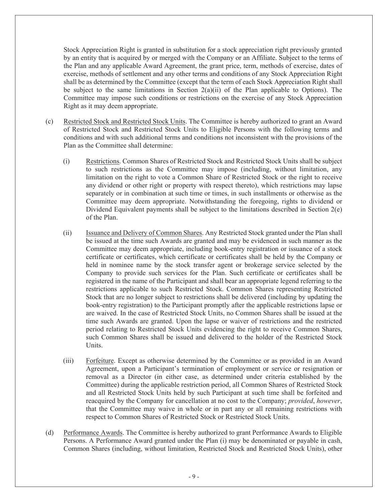Stock Appreciation Right is granted in substitution for a stock appreciation right previously granted by an entity that is acquired by or merged with the Company or an Affiliate. Subject to the terms of the Plan and any applicable Award Agreement, the grant price, term, methods of exercise, dates of exercise, methods of settlement and any other terms and conditions of any Stock Appreciation Right shall be as determined by the Committee (except that the term of each Stock Appreciation Right shall be subject to the same limitations in Section  $2(a)(ii)$  of the Plan applicable to Options). The Committee may impose such conditions or restrictions on the exercise of any Stock Appreciation Right as it may deem appropriate.

- (c) Restricted Stock and Restricted Stock Units. The Committee is hereby authorized to grant an Award of Restricted Stock and Restricted Stock Units to Eligible Persons with the following terms and conditions and with such additional terms and conditions not inconsistent with the provisions of the Plan as the Committee shall determine:
	- (i) Restrictions. Common Shares of Restricted Stock and Restricted Stock Units shall be subject to such restrictions as the Committee may impose (including, without limitation, any limitation on the right to vote a Common Share of Restricted Stock or the right to receive any dividend or other right or property with respect thereto), which restrictions may lapse separately or in combination at such time or times, in such installments or otherwise as the Committee may deem appropriate. Notwithstanding the foregoing, rights to dividend or Dividend Equivalent payments shall be subject to the limitations described in Section 2(e) of the Plan.
	- (ii) Issuance and Delivery of Common Shares. Any Restricted Stock granted under the Plan shall be issued at the time such Awards are granted and may be evidenced in such manner as the Committee may deem appropriate, including book-entry registration or issuance of a stock certificate or certificates, which certificate or certificates shall be held by the Company or held in nominee name by the stock transfer agent or brokerage service selected by the Company to provide such services for the Plan. Such certificate or certificates shall be registered in the name of the Participant and shall bear an appropriate legend referring to the restrictions applicable to such Restricted Stock. Common Shares representing Restricted Stock that are no longer subject to restrictions shall be delivered (including by updating the book-entry registration) to the Participant promptly after the applicable restrictions lapse or are waived. In the case of Restricted Stock Units, no Common Shares shall be issued at the time such Awards are granted. Upon the lapse or waiver of restrictions and the restricted period relating to Restricted Stock Units evidencing the right to receive Common Shares, such Common Shares shall be issued and delivered to the holder of the Restricted Stock Units.
	- (iii) Forfeiture. Except as otherwise determined by the Committee or as provided in an Award Agreement, upon a Participant's termination of employment or service or resignation or removal as a Director (in either case, as determined under criteria established by the Committee) during the applicable restriction period, all Common Shares of Restricted Stock and all Restricted Stock Units held by such Participant at such time shall be forfeited and reacquired by the Company for cancellation at no cost to the Company; *provided*, *however*, that the Committee may waive in whole or in part any or all remaining restrictions with respect to Common Shares of Restricted Stock or Restricted Stock Units.
- (d) Performance Awards. The Committee is hereby authorized to grant Performance Awards to Eligible Persons. A Performance Award granted under the Plan (i) may be denominated or payable in cash, Common Shares (including, without limitation, Restricted Stock and Restricted Stock Units), other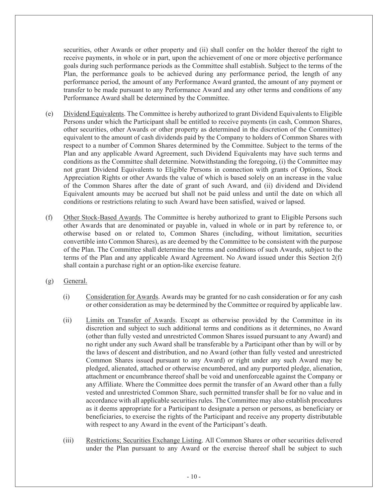securities, other Awards or other property and (ii) shall confer on the holder thereof the right to receive payments, in whole or in part, upon the achievement of one or more objective performance goals during such performance periods as the Committee shall establish. Subject to the terms of the Plan, the performance goals to be achieved during any performance period, the length of any performance period, the amount of any Performance Award granted, the amount of any payment or transfer to be made pursuant to any Performance Award and any other terms and conditions of any Performance Award shall be determined by the Committee.

- (e) Dividend Equivalents. The Committee is hereby authorized to grant Dividend Equivalents to Eligible Persons under which the Participant shall be entitled to receive payments (in cash, Common Shares, other securities, other Awards or other property as determined in the discretion of the Committee) equivalent to the amount of cash dividends paid by the Company to holders of Common Shares with respect to a number of Common Shares determined by the Committee. Subject to the terms of the Plan and any applicable Award Agreement, such Dividend Equivalents may have such terms and conditions as the Committee shall determine. Notwithstanding the foregoing, (i) the Committee may not grant Dividend Equivalents to Eligible Persons in connection with grants of Options, Stock Appreciation Rights or other Awards the value of which is based solely on an increase in the value of the Common Shares after the date of grant of such Award, and (ii) dividend and Dividend Equivalent amounts may be accrued but shall not be paid unless and until the date on which all conditions or restrictions relating to such Award have been satisfied, waived or lapsed.
- (f) Other Stock-Based Awards. The Committee is hereby authorized to grant to Eligible Persons such other Awards that are denominated or payable in, valued in whole or in part by reference to, or otherwise based on or related to, Common Shares (including, without limitation, securities convertible into Common Shares), as are deemed by the Committee to be consistent with the purpose of the Plan. The Committee shall determine the terms and conditions of such Awards, subject to the terms of the Plan and any applicable Award Agreement. No Award issued under this Section 2(f) shall contain a purchase right or an option-like exercise feature.
- (g) General.
	- (i) Consideration for Awards. Awards may be granted for no cash consideration or for any cash or other consideration as may be determined by the Committee or required by applicable law.
	- (ii) Limits on Transfer of Awards. Except as otherwise provided by the Committee in its discretion and subject to such additional terms and conditions as it determines, no Award (other than fully vested and unrestricted Common Shares issued pursuant to any Award) and no right under any such Award shall be transferable by a Participant other than by will or by the laws of descent and distribution, and no Award (other than fully vested and unrestricted Common Shares issued pursuant to any Award) or right under any such Award may be pledged, alienated, attached or otherwise encumbered, and any purported pledge, alienation, attachment or encumbrance thereof shall be void and unenforceable against the Company or any Affiliate. Where the Committee does permit the transfer of an Award other than a fully vested and unrestricted Common Share, such permitted transfer shall be for no value and in accordance with all applicable securities rules. The Committee may also establish procedures as it deems appropriate for a Participant to designate a person or persons, as beneficiary or beneficiaries, to exercise the rights of the Participant and receive any property distributable with respect to any Award in the event of the Participant's death.
	- (iii) Restrictions; Securities Exchange Listing. All Common Shares or other securities delivered under the Plan pursuant to any Award or the exercise thereof shall be subject to such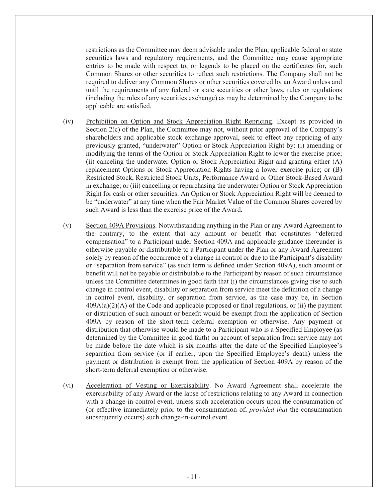restrictions as the Committee may deem advisable under the Plan, applicable federal or state securities laws and regulatory requirements, and the Committee may cause appropriate entries to be made with respect to, or legends to be placed on the certificates for, such Common Shares or other securities to reflect such restrictions. The Company shall not be required to deliver any Common Shares or other securities covered by an Award unless and until the requirements of any federal or state securities or other laws, rules or regulations (including the rules of any securities exchange) as may be determined by the Company to be applicable are satisfied.

- (iv) Prohibition on Option and Stock Appreciation Right Repricing. Except as provided in Section 2(c) of the Plan, the Committee may not, without prior approval of the Company's shareholders and applicable stock exchange approval, seek to effect any repricing of any previously granted, "underwater" Option or Stock Appreciation Right by: (i) amending or modifying the terms of the Option or Stock Appreciation Right to lower the exercise price; (ii) canceling the underwater Option or Stock Appreciation Right and granting either (A) replacement Options or Stock Appreciation Rights having a lower exercise price; or (B) Restricted Stock, Restricted Stock Units, Performance Award or Other Stock-Based Award in exchange; or (iii) cancelling or repurchasing the underwater Option or Stock Appreciation Right for cash or other securities. An Option or Stock Appreciation Right will be deemed to be "underwater" at any time when the Fair Market Value of the Common Shares covered by such Award is less than the exercise price of the Award.
- (v) Section 409A Provisions. Notwithstanding anything in the Plan or any Award Agreement to the contrary, to the extent that any amount or benefit that constitutes "deferred compensation" to a Participant under Section 409A and applicable guidance thereunder is otherwise payable or distributable to a Participant under the Plan or any Award Agreement solely by reason of the occurrence of a change in control or due to the Participant's disability or "separation from service" (as such term is defined under Section 409A), such amount or benefit will not be payable or distributable to the Participant by reason of such circumstance unless the Committee determines in good faith that (i) the circumstances giving rise to such change in control event, disability or separation from service meet the definition of a change in control event, disability, or separation from service, as the case may be, in Section  $409A(a)(2)(A)$  of the Code and applicable proposed or final regulations, or (ii) the payment or distribution of such amount or benefit would be exempt from the application of Section 409A by reason of the short-term deferral exemption or otherwise. Any payment or distribution that otherwise would be made to a Participant who is a Specified Employee (as determined by the Committee in good faith) on account of separation from service may not be made before the date which is six months after the date of the Specified Employee's separation from service (or if earlier, upon the Specified Employee's death) unless the payment or distribution is exempt from the application of Section 409A by reason of the short-term deferral exemption or otherwise.
- (vi) Acceleration of Vesting or Exercisability. No Award Agreement shall accelerate the exercisability of any Award or the lapse of restrictions relating to any Award in connection with a change-in-control event, unless such acceleration occurs upon the consummation of (or effective immediately prior to the consummation of, *provided that* the consummation subsequently occurs) such change-in-control event.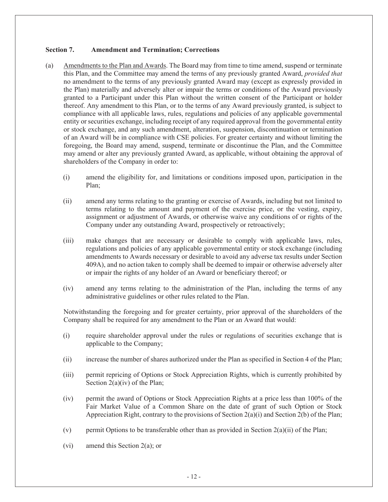#### **Section 7. Amendment and Termination; Corrections**

- (a) Amendments to the Plan and Awards. The Board may from time to time amend, suspend or terminate this Plan, and the Committee may amend the terms of any previously granted Award, *provided that* no amendment to the terms of any previously granted Award may (except as expressly provided in the Plan) materially and adversely alter or impair the terms or conditions of the Award previously granted to a Participant under this Plan without the written consent of the Participant or holder thereof. Any amendment to this Plan, or to the terms of any Award previously granted, is subject to compliance with all applicable laws, rules, regulations and policies of any applicable governmental entity or securities exchange, including receipt of any required approval from the governmental entity or stock exchange, and any such amendment, alteration, suspension, discontinuation or termination of an Award will be in compliance with CSE policies. For greater certainty and without limiting the foregoing, the Board may amend, suspend, terminate or discontinue the Plan, and the Committee may amend or alter any previously granted Award, as applicable, without obtaining the approval of shareholders of the Company in order to:
	- (i) amend the eligibility for, and limitations or conditions imposed upon, participation in the Plan;
	- (ii) amend any terms relating to the granting or exercise of Awards, including but not limited to terms relating to the amount and payment of the exercise price, or the vesting, expiry, assignment or adjustment of Awards, or otherwise waive any conditions of or rights of the Company under any outstanding Award, prospectively or retroactively;
	- (iii) make changes that are necessary or desirable to comply with applicable laws, rules, regulations and policies of any applicable governmental entity or stock exchange (including amendments to Awards necessary or desirable to avoid any adverse tax results under Section 409A), and no action taken to comply shall be deemed to impair or otherwise adversely alter or impair the rights of any holder of an Award or beneficiary thereof; or
	- (iv) amend any terms relating to the administration of the Plan, including the terms of any administrative guidelines or other rules related to the Plan.

Notwithstanding the foregoing and for greater certainty, prior approval of the shareholders of the Company shall be required for any amendment to the Plan or an Award that would:

- (i) require shareholder approval under the rules or regulations of securities exchange that is applicable to the Company;
- (ii) increase the number of shares authorized under the Plan as specified in Section 4 of the Plan;
- (iii) permit repricing of Options or Stock Appreciation Rights, which is currently prohibited by Section 2(a)(iv) of the Plan;
- (iv) permit the award of Options or Stock Appreciation Rights at a price less than 100% of the Fair Market Value of a Common Share on the date of grant of such Option or Stock Appreciation Right, contrary to the provisions of Section  $2(a)(i)$  and Section  $2(b)$  of the Plan;
- (v) permit Options to be transferable other than as provided in Section  $2(a)(ii)$  of the Plan;
- (vi) amend this Section 2(a); or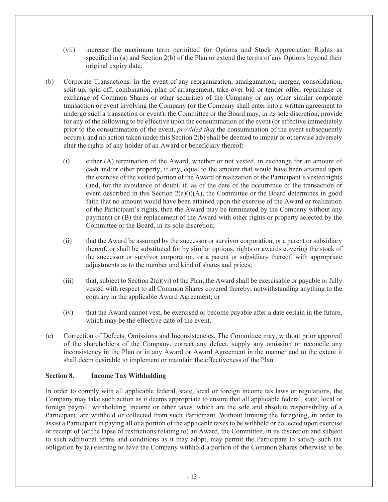- (vii) increase the maximum term permitted for Options and Stock Appreciation Rights as specified in (a) and Section 2(b) of the Plan or extend the terms of any Options beyond their original expiry date.
- (b) Corporate Transactions. In the event of any reorganization, amalgamation, merger, consolidation, split-up, spin-off, combination, plan of arrangement, take-over bid or tender offer, repurchase or exchange of Common Shares or other securities of the Company or any other similar corporate transaction or event involving the Company (or the Company shall enter into a written agreement to undergo such a transaction or event), the Committee or the Board may, in its sole discretion, provide for any of the following to be effective upon the consummation of the event (or effective immediately prior to the consummation of the event, *provided that* the consummation of the event subsequently occurs), and no action taken under this Section 2(b) shall be deemed to impair or otherwise adversely alter the rights of any holder of an Award or beneficiary thereof:
	- (i) either (A) termination of the Award, whether or not vested, in exchange for an amount of cash and/or other property, if any, equal to the amount that would have been attained upon the exercise of the vested portion of the Award or realization of the Participant's vested rights (and, for the avoidance of doubt, if, as of the date of the occurrence of the transaction or event described in this Section  $2(a)(i)(A)$ , the Committee or the Board determines in good faith that no amount would have been attained upon the exercise of the Award or realization of the Participant's rights, then the Award may be terminated by the Company without any payment) or (B) the replacement of the Award with other rights or property selected by the Committee or the Board, in its sole discretion;
	- (ii) that the Award be assumed by the successor or survivor corporation, or a parent or subsidiary thereof, or shall be substituted for by similar options, rights or awards covering the stock of the successor or survivor corporation, or a parent or subsidiary thereof, with appropriate adjustments as to the number and kind of shares and prices;
	- (iii) that, subject to Section  $2(a)(vi)$  of the Plan, the Award shall be exercisable or payable or fully vested with respect to all Common Shares covered thereby, notwithstanding anything to the contrary in the applicable Award Agreement; or
	- (iv) that the Award cannot vest, be exercised or become payable after a date certain in the future, which may be the effective date of the event.
- (c) Correction of Defects, Omissions and Inconsistencies. The Committee may, without prior approval of the shareholders of the Company, correct any defect, supply any omission or reconcile any inconsistency in the Plan or in any Award or Award Agreement in the manner and to the extent it shall deem desirable to implement or maintain the effectiveness of the Plan.

# **Section 8. Income Tax Withholding**

In order to comply with all applicable federal, state, local or foreign income tax laws or regulations, the Company may take such action as it deems appropriate to ensure that all applicable federal, state, local or foreign payroll, withholding, income or other taxes, which are the sole and absolute responsibility of a Participant, are withheld or collected from such Participant. Without limiting the foregoing, in order to assist a Participant in paying all or a portion of the applicable taxes to be withheld or collected upon exercise or receipt of (or the lapse of restrictions relating to) an Award, the Committee, in its discretion and subject to such additional terms and conditions as it may adopt, may permit the Participant to satisfy such tax obligation by (a) electing to have the Company withhold a portion of the Common Shares otherwise to be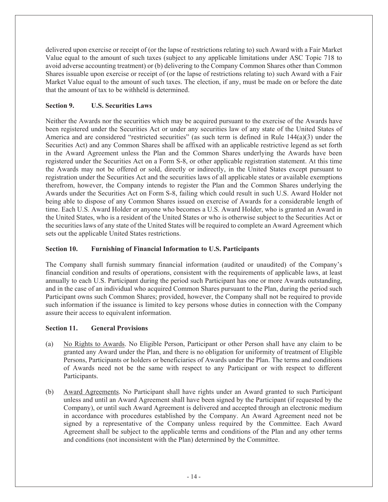delivered upon exercise or receipt of (or the lapse of restrictions relating to) such Award with a Fair Market Value equal to the amount of such taxes (subject to any applicable limitations under ASC Topic 718 to avoid adverse accounting treatment) or (b) delivering to the Company Common Shares other than Common Shares issuable upon exercise or receipt of (or the lapse of restrictions relating to) such Award with a Fair Market Value equal to the amount of such taxes. The election, if any, must be made on or before the date that the amount of tax to be withheld is determined.

# **Section 9. U.S. Securities Laws**

Neither the Awards nor the securities which may be acquired pursuant to the exercise of the Awards have been registered under the Securities Act or under any securities law of any state of the United States of America and are considered "restricted securities" (as such term is defined in Rule 144(a)(3) under the Securities Act) and any Common Shares shall be affixed with an applicable restrictive legend as set forth in the Award Agreement unless the Plan and the Common Shares underlying the Awards have been registered under the Securities Act on a Form S-8, or other applicable registration statement. At this time the Awards may not be offered or sold, directly or indirectly, in the United States except pursuant to registration under the Securities Act and the securities laws of all applicable states or available exemptions therefrom, however, the Company intends to register the Plan and the Common Shares underlying the Awards under the Securities Act on Form S-8, failing which could result in such U.S. Award Holder not being able to dispose of any Common Shares issued on exercise of Awards for a considerable length of time. Each U.S. Award Holder or anyone who becomes a U.S. Award Holder, who is granted an Award in the United States, who is a resident of the United States or who is otherwise subject to the Securities Act or the securities laws of any state of the United States will be required to complete an Award Agreement which sets out the applicable United States restrictions.

# **Section 10. Furnishing of Financial Information to U.S. Participants**

The Company shall furnish summary financial information (audited or unaudited) of the Company's financial condition and results of operations, consistent with the requirements of applicable laws, at least annually to each U.S. Participant during the period such Participant has one or more Awards outstanding, and in the case of an individual who acquired Common Shares pursuant to the Plan, during the period such Participant owns such Common Shares; provided, however, the Company shall not be required to provide such information if the issuance is limited to key persons whose duties in connection with the Company assure their access to equivalent information.

# **Section 11. General Provisions**

- (a) No Rights to Awards. No Eligible Person, Participant or other Person shall have any claim to be granted any Award under the Plan, and there is no obligation for uniformity of treatment of Eligible Persons, Participants or holders or beneficiaries of Awards under the Plan. The terms and conditions of Awards need not be the same with respect to any Participant or with respect to different Participants.
- (b) Award Agreements. No Participant shall have rights under an Award granted to such Participant unless and until an Award Agreement shall have been signed by the Participant (if requested by the Company), or until such Award Agreement is delivered and accepted through an electronic medium in accordance with procedures established by the Company. An Award Agreement need not be signed by a representative of the Company unless required by the Committee. Each Award Agreement shall be subject to the applicable terms and conditions of the Plan and any other terms and conditions (not inconsistent with the Plan) determined by the Committee.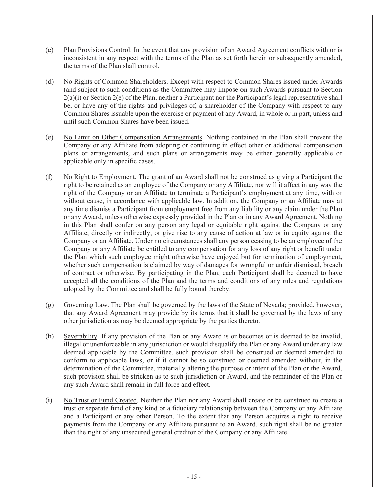- (c) Plan Provisions Control. In the event that any provision of an Award Agreement conflicts with or is inconsistent in any respect with the terms of the Plan as set forth herein or subsequently amended, the terms of the Plan shall control.
- (d) No Rights of Common Shareholders. Except with respect to Common Shares issued under Awards (and subject to such conditions as the Committee may impose on such Awards pursuant to Section  $2(a)(i)$  or Section  $2(e)$  of the Plan, neither a Participant nor the Participant's legal representative shall be, or have any of the rights and privileges of, a shareholder of the Company with respect to any Common Shares issuable upon the exercise or payment of any Award, in whole or in part, unless and until such Common Shares have been issued.
- (e) No Limit on Other Compensation Arrangements. Nothing contained in the Plan shall prevent the Company or any Affiliate from adopting or continuing in effect other or additional compensation plans or arrangements, and such plans or arrangements may be either generally applicable or applicable only in specific cases.
- (f) No Right to Employment. The grant of an Award shall not be construed as giving a Participant the right to be retained as an employee of the Company or any Affiliate, nor will it affect in any way the right of the Company or an Affiliate to terminate a Participant's employment at any time, with or without cause, in accordance with applicable law. In addition, the Company or an Affiliate may at any time dismiss a Participant from employment free from any liability or any claim under the Plan or any Award, unless otherwise expressly provided in the Plan or in any Award Agreement. Nothing in this Plan shall confer on any person any legal or equitable right against the Company or any Affiliate, directly or indirectly, or give rise to any cause of action at law or in equity against the Company or an Affiliate. Under no circumstances shall any person ceasing to be an employee of the Company or any Affiliate be entitled to any compensation for any loss of any right or benefit under the Plan which such employee might otherwise have enjoyed but for termination of employment, whether such compensation is claimed by way of damages for wrongful or unfair dismissal, breach of contract or otherwise. By participating in the Plan, each Participant shall be deemed to have accepted all the conditions of the Plan and the terms and conditions of any rules and regulations adopted by the Committee and shall be fully bound thereby.
- (g) Governing Law. The Plan shall be governed by the laws of the State of Nevada; provided, however, that any Award Agreement may provide by its terms that it shall be governed by the laws of any other jurisdiction as may be deemed appropriate by the parties thereto.
- (h) Severability. If any provision of the Plan or any Award is or becomes or is deemed to be invalid, illegal or unenforceable in any jurisdiction or would disqualify the Plan or any Award under any law deemed applicable by the Committee, such provision shall be construed or deemed amended to conform to applicable laws, or if it cannot be so construed or deemed amended without, in the determination of the Committee, materially altering the purpose or intent of the Plan or the Award, such provision shall be stricken as to such jurisdiction or Award, and the remainder of the Plan or any such Award shall remain in full force and effect.
- (i) No Trust or Fund Created. Neither the Plan nor any Award shall create or be construed to create a trust or separate fund of any kind or a fiduciary relationship between the Company or any Affiliate and a Participant or any other Person. To the extent that any Person acquires a right to receive payments from the Company or any Affiliate pursuant to an Award, such right shall be no greater than the right of any unsecured general creditor of the Company or any Affiliate.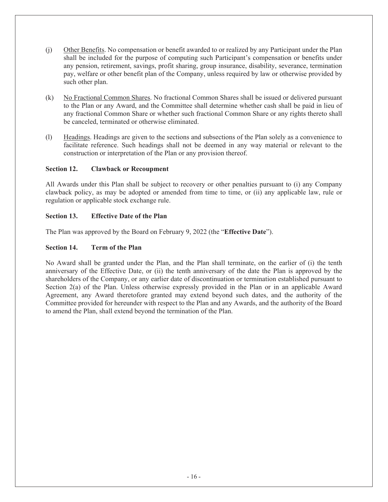- (j) Other Benefits. No compensation or benefit awarded to or realized by any Participant under the Plan shall be included for the purpose of computing such Participant's compensation or benefits under any pension, retirement, savings, profit sharing, group insurance, disability, severance, termination pay, welfare or other benefit plan of the Company, unless required by law or otherwise provided by such other plan.
- (k) No Fractional Common Shares. No fractional Common Shares shall be issued or delivered pursuant to the Plan or any Award, and the Committee shall determine whether cash shall be paid in lieu of any fractional Common Share or whether such fractional Common Share or any rights thereto shall be canceled, terminated or otherwise eliminated.
- (l) Headings. Headings are given to the sections and subsections of the Plan solely as a convenience to facilitate reference. Such headings shall not be deemed in any way material or relevant to the construction or interpretation of the Plan or any provision thereof.

# **Section 12. Clawback or Recoupment**

All Awards under this Plan shall be subject to recovery or other penalties pursuant to (i) any Company clawback policy, as may be adopted or amended from time to time, or (ii) any applicable law, rule or regulation or applicable stock exchange rule.

# **Section 13. Effective Date of the Plan**

The Plan was approved by the Board on February 9, 2022 (the "**Effective Date**").

# **Section 14. Term of the Plan**

No Award shall be granted under the Plan, and the Plan shall terminate, on the earlier of (i) the tenth anniversary of the Effective Date, or (ii) the tenth anniversary of the date the Plan is approved by the shareholders of the Company, or any earlier date of discontinuation or termination established pursuant to Section 2(a) of the Plan. Unless otherwise expressly provided in the Plan or in an applicable Award Agreement, any Award theretofore granted may extend beyond such dates, and the authority of the Committee provided for hereunder with respect to the Plan and any Awards, and the authority of the Board to amend the Plan, shall extend beyond the termination of the Plan.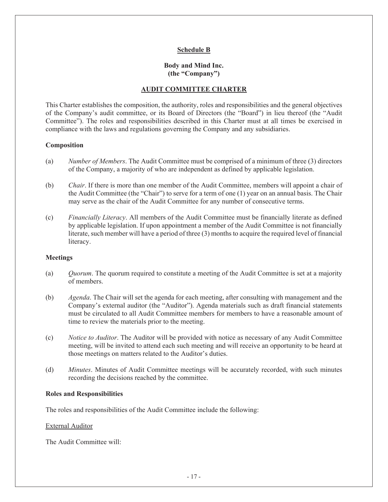# **Schedule B**

#### **Body and Mind Inc. (the "Company")**

# **AUDIT COMMITTEE CHARTER**

This Charter establishes the composition, the authority, roles and responsibilities and the general objectives of the Company's audit committee, or its Board of Directors (the "Board") in lieu thereof (the "Audit Committee"). The roles and responsibilities described in this Charter must at all times be exercised in compliance with the laws and regulations governing the Company and any subsidiaries.

#### **Composition**

- (a) *Number of Members*. The Audit Committee must be comprised of a minimum of three (3) directors of the Company, a majority of who are independent as defined by applicable legislation.
- (b) *Chair*. If there is more than one member of the Audit Committee, members will appoint a chair of the Audit Committee (the "Chair") to serve for a term of one (1) year on an annual basis. The Chair may serve as the chair of the Audit Committee for any number of consecutive terms.
- (c) *Financially Literacy*. All members of the Audit Committee must be financially literate as defined by applicable legislation. If upon appointment a member of the Audit Committee is not financially literate, such member will have a period of three (3) months to acquire the required level of financial literacy.

#### **Meetings**

- (a) *Quorum*. The quorum required to constitute a meeting of the Audit Committee is set at a majority of members.
- (b) *Agenda*. The Chair will set the agenda for each meeting, after consulting with management and the Company's external auditor (the "Auditor"). Agenda materials such as draft financial statements must be circulated to all Audit Committee members for members to have a reasonable amount of time to review the materials prior to the meeting.
- (c) *Notice to Auditor*. The Auditor will be provided with notice as necessary of any Audit Committee meeting, will be invited to attend each such meeting and will receive an opportunity to be heard at those meetings on matters related to the Auditor's duties.
- (d) *Minutes*. Minutes of Audit Committee meetings will be accurately recorded, with such minutes recording the decisions reached by the committee.

#### **Roles and Responsibilities**

The roles and responsibilities of the Audit Committee include the following:

#### External Auditor

The Audit Committee will: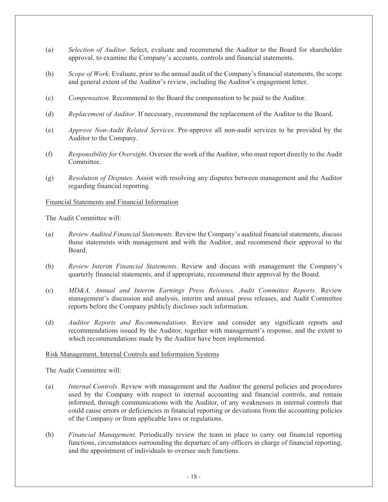- (a) *Selection of Auditor*. Select, evaluate and recommend the Auditor to the Board for shareholder approval, to examine the Company's accounts, controls and financial statements.
- (b) *Scope of Work*. Evaluate, prior to the annual audit of the Company's financial statements, the scope and general extent of the Auditor's review, including the Auditor's engagement letter.
- (c) *Compensation*. Recommend to the Board the compensation to be paid to the Auditor.
- (d) *Replacement of Auditor*. If necessary, recommend the replacement of the Auditor to the Board.
- (e) *Approve Non-Audit Related Services*. Pre-approve all non-audit services to be provided by the Auditor to the Company.
- (f) *Responsibility for Oversight*. Oversee the work of the Auditor, who must report directly to the Audit Committee.
- (g) *Resolution of Disputes*. Assist with resolving any disputes between management and the Auditor regarding financial reporting.

#### Financial Statements and Financial Information

The Audit Committee will:

- (a) *Review Audited Financial Statements*. Review the Company's audited financial statements, discuss those statements with management and with the Auditor, and recommend their approval to the Board.
- (b) *Review Interim Financial Statements*. Review and discuss with management the Company's quarterly financial statements, and if appropriate, recommend their approval by the Board.
- (c) *MD&A, Annual and Interim Earnings Press Releases, Audit Committee Reports*. Review management's discussion and analysis, interim and annual press releases, and Audit Committee reports before the Company publicly discloses such information.
- (d) *Auditor Reports and Recommendations*. Review and consider any significant reports and recommendations issued by the Auditor, together with management's response, and the extent to which recommendations made by the Auditor have been implemented.

#### Risk Management, Internal Controls and Information Systems

The Audit Committee will:

- (a) *Internal Controls*. Review with management and the Auditor the general policies and procedures used by the Company with respect to internal accounting and financial controls, and remain informed, through communications with the Auditor, of any weaknesses in internal controls that could cause errors or deficiencies in financial reporting or deviations from the accounting policies of the Company or from applicable laws or regulations.
- (b) *Financial Management*. Periodically review the team in place to carry out financial reporting functions, circumstances surrounding the departure of any officers in charge of financial reporting, and the appointment of individuals to oversee such functions.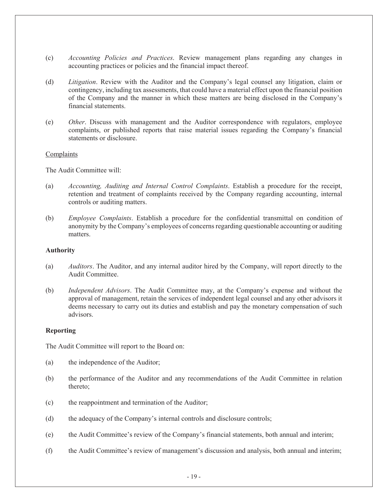- (c) *Accounting Policies and Practices*. Review management plans regarding any changes in accounting practices or policies and the financial impact thereof.
- (d) *Litigation*. Review with the Auditor and the Company's legal counsel any litigation, claim or contingency, including tax assessments, that could have a material effect upon the financial position of the Company and the manner in which these matters are being disclosed in the Company's financial statements.
- (e) *Other*. Discuss with management and the Auditor correspondence with regulators, employee complaints, or published reports that raise material issues regarding the Company's financial statements or disclosure.

#### Complaints

The Audit Committee will:

- (a) *Accounting, Auditing and Internal Control Complaints*. Establish a procedure for the receipt, retention and treatment of complaints received by the Company regarding accounting, internal controls or auditing matters.
- (b) *Employee Complaints*. Establish a procedure for the confidential transmittal on condition of anonymity by the Company's employees of concerns regarding questionable accounting or auditing matters.

#### **Authority**

- (a) *Auditors*. The Auditor, and any internal auditor hired by the Company, will report directly to the Audit Committee.
- (b) *Independent Advisors*. The Audit Committee may, at the Company's expense and without the approval of management, retain the services of independent legal counsel and any other advisors it deems necessary to carry out its duties and establish and pay the monetary compensation of such advisors.

### **Reporting**

The Audit Committee will report to the Board on:

- (a) the independence of the Auditor;
- (b) the performance of the Auditor and any recommendations of the Audit Committee in relation thereto;
- (c) the reappointment and termination of the Auditor;
- (d) the adequacy of the Company's internal controls and disclosure controls;
- (e) the Audit Committee's review of the Company's financial statements, both annual and interim;
- (f) the Audit Committee's review of management's discussion and analysis, both annual and interim;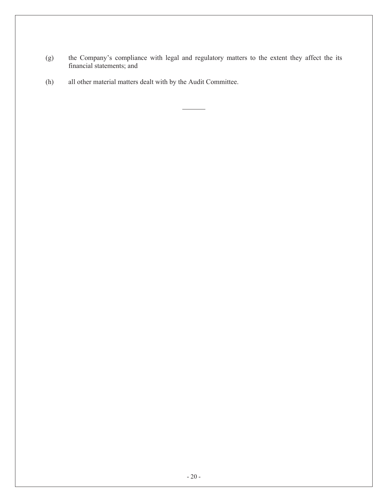(g) the Company's compliance with legal and regulatory matters to the extent they affect the its financial statements; and

 $\overline{a}$ 

(h) all other material matters dealt with by the Audit Committee.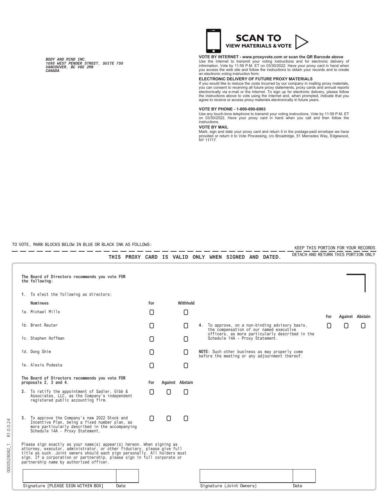**BODY AND MIND INC. 1095 WEST PENDER STREET, SUITE 750 VANCOUVER, BC V6E 2M6 CANADA**



#### **VOTE BY INTERNET - www.proxyvote.com or scan the QR Barcode above**

Use the Internet to transmit your voting instructions and for electronic delivery of<br>information. Vote by 11:59 P.M. ET on 03/30/2022. Have your proxy card in hand when you access the web site and follow the instructions to obtain your records and to create<br>an electronic voting instruction form.

#### ELECTRONIC DELIVERY OF FUTURE PROXY MATERIALS

If you would like to reduce the costs incurred by our company in mailing proxy materials,<br>you can consent to receiving all future proxy statements, proxy cards and annual reports<br>electronically via e-mail or the Internet.

#### **VOTE BY PHONE - 1-800-690-6903**

Use any touch-tone telephone to transmit your voting instructions. Vote by 11:59 P.M. ET<br>on 03/30/2022. Have your proxy card in hand when you call and then follow the  $intuctions.$ 

#### VOTE BY MAIL

Mark, sign and date your proxy card and return it in the postage-paid envelope we have<br>provided or return it to Vote Processing, c/o Broadridge, 51 Mercedes Way, Edgewood,<br>NY 11717.

TO VOTE, MARK BLOCKS BELOW IN BLUE OR BLACK INK AS FOLLOWS:

|                                                                                                                                                                                                                                                                                                                                                     |        |        |                 |  |                                 |                                                                                                  |                                     |     |                 | KEEP THIS PORTION FOR YOUR RECORDS |
|-----------------------------------------------------------------------------------------------------------------------------------------------------------------------------------------------------------------------------------------------------------------------------------------------------------------------------------------------------|--------|--------|-----------------|--|---------------------------------|--------------------------------------------------------------------------------------------------|-------------------------------------|-----|-----------------|------------------------------------|
| THIS PROXY CARD IS VALID ONLY WHEN SIGNED AND DATED.                                                                                                                                                                                                                                                                                                |        |        |                 |  |                                 |                                                                                                  | DETACH AND RETURN THIS PORTION ONLY |     |                 |                                    |
| The Board of Directors recommends you vote FOR<br>the following:                                                                                                                                                                                                                                                                                    |        |        |                 |  |                                 |                                                                                                  |                                     |     |                 |                                    |
| 1. To elect the following as directors:                                                                                                                                                                                                                                                                                                             |        |        |                 |  |                                 |                                                                                                  |                                     |     |                 |                                    |
| Nominees                                                                                                                                                                                                                                                                                                                                            | For    |        | Withhold        |  |                                 |                                                                                                  |                                     |     |                 |                                    |
| 1a. Michael Mills                                                                                                                                                                                                                                                                                                                                   | 0      |        | 0               |  |                                 |                                                                                                  |                                     | For | Against Abstain |                                    |
| 1b. Brent Reuter                                                                                                                                                                                                                                                                                                                                    | $\Box$ |        | n               |  |                                 | 4. To approve, on a non-binding advisory basis,<br>the compensation of our named executive       |                                     | ſΙ  | Π               | Ο                                  |
| 1c. Stephen Hoffman                                                                                                                                                                                                                                                                                                                                 | $\Box$ |        | 0               |  | Schedule 14A - Proxy Statement. | officers, as more particularly described in the                                                  |                                     |     |                 |                                    |
| 1d. Dong Shim                                                                                                                                                                                                                                                                                                                                       | 0      |        | 0               |  |                                 | NOTE: Such other business as may properly come<br>before the meeting or any adjournment thereof. |                                     |     |                 |                                    |
| 1e. Alexis Podesta                                                                                                                                                                                                                                                                                                                                  | 0      |        | 0               |  |                                 |                                                                                                  |                                     |     |                 |                                    |
| The Board of Directors recommends you vote FOR<br>proposals 2, 3 and 4.                                                                                                                                                                                                                                                                             | For    |        | Against Abstain |  |                                 |                                                                                                  |                                     |     |                 |                                    |
| 2. To ratify the appointment of Sadler, Gibb &<br>Associates, LLC, as the Company's independent<br>registered public accounting firm.                                                                                                                                                                                                               | 0      | $\Box$ | $\Box$          |  |                                 |                                                                                                  |                                     |     |                 |                                    |
| 3. To approve the Company's new 2022 Stock and<br>Incentive Plan, being a fixed number plan, as<br>more particularly described in the accompanying<br>Schedule 14A - Proxy Statement.                                                                                                                                                               | 0      | n      | 0               |  |                                 |                                                                                                  |                                     |     |                 |                                    |
| Please sign exactly as your name(s) appear(s) hereon. When signing as<br>attorney, executor, administrator, or other fiduciary, please give full<br>title as such. Joint owners should each sign personally. All holders must<br>sign. If a corporation or partnership, please sign in full corporate or<br>partnership name by authorized officer. |        |        |                 |  |                                 |                                                                                                  |                                     |     |                 |                                    |
|                                                                                                                                                                                                                                                                                                                                                     |        |        |                 |  |                                 |                                                                                                  |                                     |     |                 |                                    |
| Signature [PLEASE SIGN WITHIN BOX]<br>Date                                                                                                                                                                                                                                                                                                          |        |        |                 |  | Signature (Joint Owners)        |                                                                                                  | Date                                |     |                 |                                    |